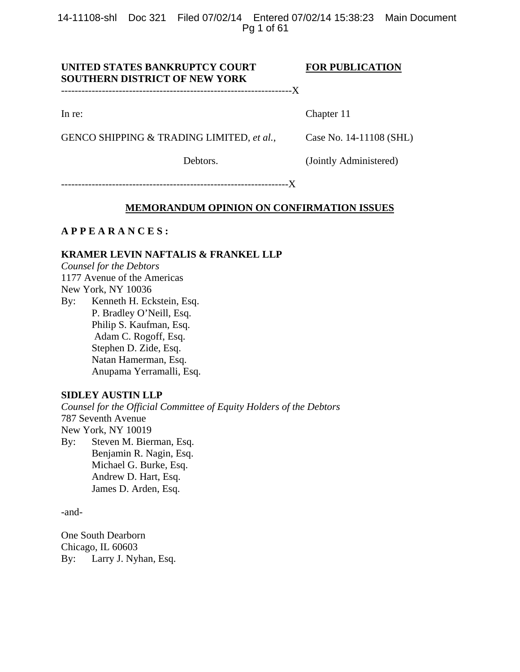14-11108-shl Doc 321 Filed 07/02/14 Entered 07/02/14 15:38:23 Main Document Pg 1 of 61

# UNITED STATES BANKRUPTCY COURT FOR PUBLICATION **SOUTHERN DISTRICT OF NEW YORK**

--------------------------------------------------------------------X

In re: Chapter 11

GENCO SHIPPING & TRADING LIMITED, *et al.*, Case No. 14-11108 (SHL)

Debtors. (Jointly Administered)

-------------------------------------------------------------------X

#### **MEMORANDUM OPINION ON CONFIRMATION ISSUES**

## **A P P E A R A N C E S :**

# **KRAMER LEVIN NAFTALIS & FRANKEL LLP**

*Counsel for the Debtors*  1177 Avenue of the Americas New York, NY 10036

By: Kenneth H. Eckstein, Esq. P. Bradley O'Neill, Esq. Philip S. Kaufman, Esq. Adam C. Rogoff, Esq. Stephen D. Zide, Esq. Natan Hamerman, Esq. Anupama Yerramalli, Esq.

# **SIDLEY AUSTIN LLP**

*Counsel for the Official Committee of Equity Holders of the Debtors*  787 Seventh Avenue New York, NY 10019 By: Steven M. Bierman, Esq. Benjamin R. Nagin, Esq.

 Michael G. Burke, Esq. Andrew D. Hart, Esq. James D. Arden, Esq.

-and-

One South Dearborn Chicago, IL 60603 By: Larry J. Nyhan, Esq.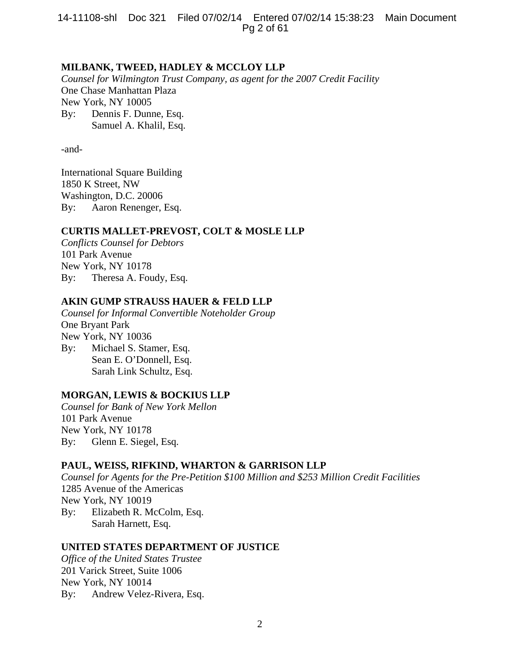14-11108-shl Doc 321 Filed 07/02/14 Entered 07/02/14 15:38:23 Main Document Pg 2 of 61

## **MILBANK, TWEED, HADLEY & MCCLOY LLP**

*Counsel for Wilmington Trust Company, as agent for the 2007 Credit Facility*  One Chase Manhattan Plaza New York, NY 10005 By: Dennis F. Dunne, Esq. Samuel A. Khalil, Esq.

-and-

International Square Building 1850 K Street, NW Washington, D.C. 20006 By: Aaron Renenger, Esq.

#### **CURTIS MALLET-PREVOST, COLT & MOSLE LLP**

*Conflicts Counsel for Debtors* 101 Park Avenue New York, NY 10178 By: Theresa A. Foudy, Esq.

# **AKIN GUMP STRAUSS HAUER & FELD LLP**

*Counsel for Informal Convertible Noteholder Group*  One Bryant Park New York, NY 10036 By: Michael S. Stamer, Esq. Sean E. O'Donnell, Esq. Sarah Link Schultz, Esq.

# **MORGAN, LEWIS & BOCKIUS LLP**

*Counsel for Bank of New York Mellon*  101 Park Avenue New York, NY 10178 By: Glenn E. Siegel, Esq.

# **PAUL, WEISS, RIFKIND, WHARTON & GARRISON LLP**

*Counsel for Agents for the Pre-Petition \$100 Million and \$253 Million Credit Facilities* 1285 Avenue of the Americas New York, NY 10019 By: Elizabeth R. McColm, Esq. Sarah Harnett, Esq.

# **UNITED STATES DEPARTMENT OF JUSTICE**

*Office of the United States Trustee* 201 Varick Street, Suite 1006 New York, NY 10014 By: Andrew Velez-Rivera, Esq.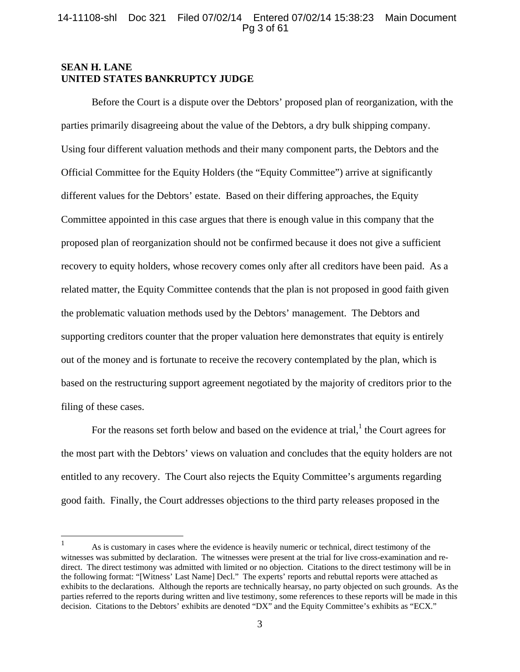# **SEAN H. LANE UNITED STATES BANKRUPTCY JUDGE**

<u>.</u>

Before the Court is a dispute over the Debtors' proposed plan of reorganization, with the parties primarily disagreeing about the value of the Debtors, a dry bulk shipping company. Using four different valuation methods and their many component parts, the Debtors and the Official Committee for the Equity Holders (the "Equity Committee") arrive at significantly different values for the Debtors' estate. Based on their differing approaches, the Equity Committee appointed in this case argues that there is enough value in this company that the proposed plan of reorganization should not be confirmed because it does not give a sufficient recovery to equity holders, whose recovery comes only after all creditors have been paid. As a related matter, the Equity Committee contends that the plan is not proposed in good faith given the problematic valuation methods used by the Debtors' management. The Debtors and supporting creditors counter that the proper valuation here demonstrates that equity is entirely out of the money and is fortunate to receive the recovery contemplated by the plan, which is based on the restructuring support agreement negotiated by the majority of creditors prior to the filing of these cases.

For the reasons set forth below and based on the evidence at trial, $<sup>1</sup>$  the Court agrees for</sup> the most part with the Debtors' views on valuation and concludes that the equity holders are not entitled to any recovery. The Court also rejects the Equity Committee's arguments regarding good faith. Finally, the Court addresses objections to the third party releases proposed in the

<sup>1</sup> As is customary in cases where the evidence is heavily numeric or technical, direct testimony of the witnesses was submitted by declaration. The witnesses were present at the trial for live cross-examination and redirect. The direct testimony was admitted with limited or no objection. Citations to the direct testimony will be in the following format: "[Witness' Last Name] Decl." The experts' reports and rebuttal reports were attached as exhibits to the declarations. Although the reports are technically hearsay, no party objected on such grounds. As the parties referred to the reports during written and live testimony, some references to these reports will be made in this decision. Citations to the Debtors' exhibits are denoted "DX" and the Equity Committee's exhibits as "ECX."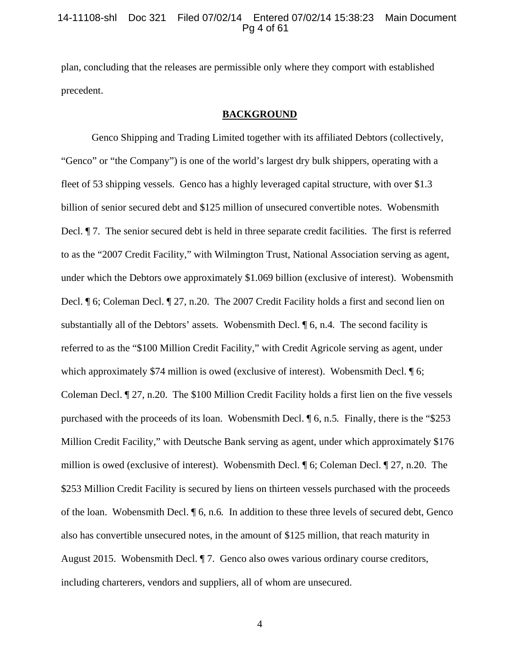#### 14-11108-shl Doc 321 Filed 07/02/14 Entered 07/02/14 15:38:23 Main Document Pg 4 of 61

plan, concluding that the releases are permissible only where they comport with established precedent.

#### **BACKGROUND**

 Genco Shipping and Trading Limited together with its affiliated Debtors (collectively, "Genco" or "the Company") is one of the world's largest dry bulk shippers, operating with a fleet of 53 shipping vessels. Genco has a highly leveraged capital structure, with over \$1.3 billion of senior secured debt and \$125 million of unsecured convertible notes. Wobensmith Decl. ¶ 7. The senior secured debt is held in three separate credit facilities. The first is referred to as the "2007 Credit Facility," with Wilmington Trust, National Association serving as agent, under which the Debtors owe approximately \$1.069 billion (exclusive of interest). Wobensmith Decl. ¶ 6; Coleman Decl. ¶ 27, n.20. The 2007 Credit Facility holds a first and second lien on substantially all of the Debtors' assets. Wobensmith Decl. ¶ 6, n.4*.* The second facility is referred to as the "\$100 Million Credit Facility," with Credit Agricole serving as agent, under which approximately \$74 million is owed (exclusive of interest). Wobensmith Decl.  $\sqrt{\ }$  6; Coleman Decl. ¶ 27, n.20.The \$100 Million Credit Facility holds a first lien on the five vessels purchased with the proceeds of its loan. Wobensmith Decl. ¶ 6, n.5*.* Finally, there is the "\$253 Million Credit Facility," with Deutsche Bank serving as agent, under which approximately \$176 million is owed (exclusive of interest). Wobensmith Decl. ¶ 6; Coleman Decl. ¶ 27, n.20. The \$253 Million Credit Facility is secured by liens on thirteen vessels purchased with the proceeds of the loan. Wobensmith Decl. ¶ 6, n.6*.* In addition to these three levels of secured debt, Genco also has convertible unsecured notes, in the amount of \$125 million, that reach maturity in August 2015. Wobensmith Decl. ¶ 7. Genco also owes various ordinary course creditors, including charterers, vendors and suppliers, all of whom are unsecured.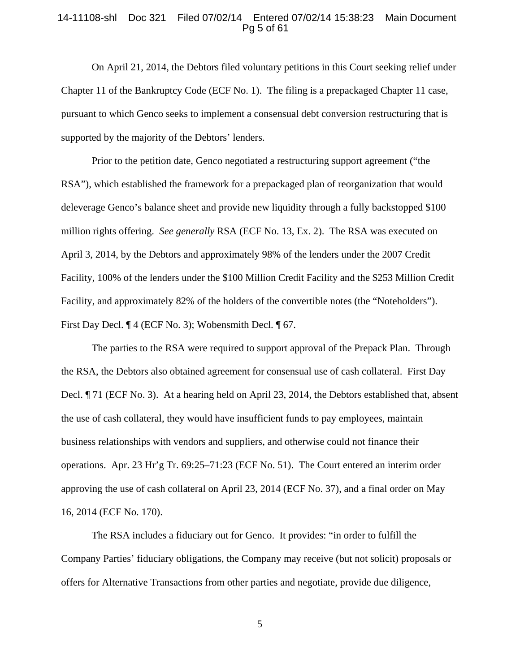#### 14-11108-shl Doc 321 Filed 07/02/14 Entered 07/02/14 15:38:23 Main Document Pg 5 of 61

On April 21, 2014, the Debtors filed voluntary petitions in this Court seeking relief under Chapter 11 of the Bankruptcy Code (ECF No. 1). The filing is a prepackaged Chapter 11 case, pursuant to which Genco seeks to implement a consensual debt conversion restructuring that is supported by the majority of the Debtors' lenders.

Prior to the petition date, Genco negotiated a restructuring support agreement ("the RSA"), which established the framework for a prepackaged plan of reorganization that would deleverage Genco's balance sheet and provide new liquidity through a fully backstopped \$100 million rights offering. *See generally* RSA (ECF No. 13, Ex. 2). The RSA was executed on April 3, 2014, by the Debtors and approximately 98% of the lenders under the 2007 Credit Facility, 100% of the lenders under the \$100 Million Credit Facility and the \$253 Million Credit Facility, and approximately 82% of the holders of the convertible notes (the "Noteholders"). First Day Decl. ¶ 4 (ECF No. 3); Wobensmith Decl. ¶ 67.

 The parties to the RSA were required to support approval of the Prepack Plan. Through the RSA, the Debtors also obtained agreement for consensual use of cash collateral. First Day Decl. ¶ 71 (ECF No. 3). At a hearing held on April 23, 2014, the Debtors established that, absent the use of cash collateral, they would have insufficient funds to pay employees, maintain business relationships with vendors and suppliers, and otherwise could not finance their operations. Apr. 23 Hr'g Tr. 69:25–71:23 (ECF No. 51). The Court entered an interim order approving the use of cash collateral on April 23, 2014 (ECF No. 37), and a final order on May 16, 2014 (ECF No. 170).

The RSA includes a fiduciary out for Genco. It provides: "in order to fulfill the Company Parties' fiduciary obligations, the Company may receive (but not solicit) proposals or offers for Alternative Transactions from other parties and negotiate, provide due diligence,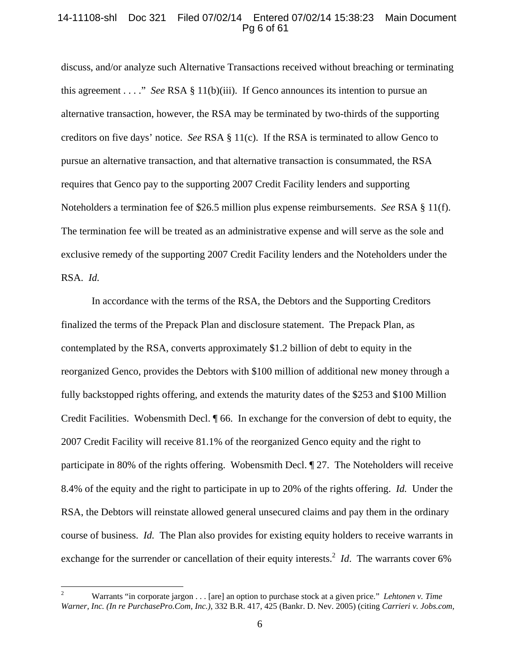## 14-11108-shl Doc 321 Filed 07/02/14 Entered 07/02/14 15:38:23 Main Document Pg 6 of 61

discuss, and/or analyze such Alternative Transactions received without breaching or terminating this agreement . . . ." *See* RSA § 11(b)(iii). If Genco announces its intention to pursue an alternative transaction, however, the RSA may be terminated by two-thirds of the supporting creditors on five days' notice. *See* RSA § 11(c). If the RSA is terminated to allow Genco to pursue an alternative transaction, and that alternative transaction is consummated, the RSA requires that Genco pay to the supporting 2007 Credit Facility lenders and supporting Noteholders a termination fee of \$26.5 million plus expense reimbursements. *See* RSA § 11(f). The termination fee will be treated as an administrative expense and will serve as the sole and exclusive remedy of the supporting 2007 Credit Facility lenders and the Noteholders under the RSA. *Id.* 

In accordance with the terms of the RSA, the Debtors and the Supporting Creditors finalized the terms of the Prepack Plan and disclosure statement. The Prepack Plan, as contemplated by the RSA, converts approximately \$1.2 billion of debt to equity in the reorganized Genco, provides the Debtors with \$100 million of additional new money through a fully backstopped rights offering, and extends the maturity dates of the \$253 and \$100 Million Credit Facilities. Wobensmith Decl. ¶ 66. In exchange for the conversion of debt to equity, the 2007 Credit Facility will receive 81.1% of the reorganized Genco equity and the right to participate in 80% of the rights offering. Wobensmith Decl. ¶ 27. The Noteholders will receive 8.4% of the equity and the right to participate in up to 20% of the rights offering. *Id.* Under the RSA, the Debtors will reinstate allowed general unsecured claims and pay them in the ordinary course of business. *Id.* The Plan also provides for existing equity holders to receive warrants in exchange for the surrender or cancellation of their equity interests.<sup>2</sup> *Id*. The warrants cover 6%

 $\frac{1}{2}$  Warrants "in corporate jargon . . . [are] an option to purchase stock at a given price." *Lehtonen v. Time Warner, Inc. (In re PurchasePro.Com, Inc.)*, 332 B.R. 417, 425 (Bankr. D. Nev. 2005) (citing *Carrieri v. Jobs.com,*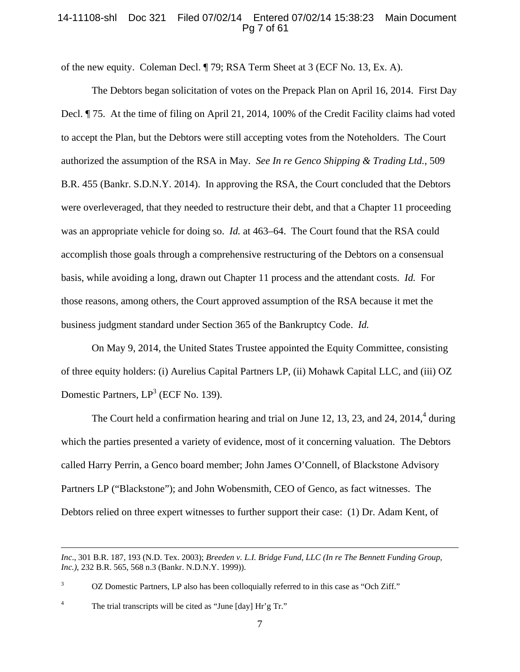# 14-11108-shl Doc 321 Filed 07/02/14 Entered 07/02/14 15:38:23 Main Document Pg 7 of 61

of the new equity. Coleman Decl. ¶ 79; RSA Term Sheet at 3 (ECF No. 13, Ex. A).

The Debtors began solicitation of votes on the Prepack Plan on April 16, 2014. First Day Decl. ¶ 75. At the time of filing on April 21, 2014, 100% of the Credit Facility claims had voted to accept the Plan, but the Debtors were still accepting votes from the Noteholders. The Court authorized the assumption of the RSA in May. *See In re Genco Shipping & Trading Ltd.*, 509 B.R. 455 (Bankr. S.D.N.Y. 2014). In approving the RSA, the Court concluded that the Debtors were overleveraged, that they needed to restructure their debt, and that a Chapter 11 proceeding was an appropriate vehicle for doing so. *Id.* at 463–64. The Court found that the RSA could accomplish those goals through a comprehensive restructuring of the Debtors on a consensual basis, while avoiding a long, drawn out Chapter 11 process and the attendant costs. *Id.* For those reasons, among others, the Court approved assumption of the RSA because it met the business judgment standard under Section 365 of the Bankruptcy Code. *Id.*

On May 9, 2014, the United States Trustee appointed the Equity Committee, consisting of three equity holders: (i) Aurelius Capital Partners LP, (ii) Mohawk Capital LLC, and (iii) OZ Domestic Partners,  $LP^3$  (ECF No. 139).

The Court held a confirmation hearing and trial on June 12, 13, 23, and 24, 2014, $4$  during which the parties presented a variety of evidence, most of it concerning valuation. The Debtors called Harry Perrin, a Genco board member; John James O'Connell, of Blackstone Advisory Partners LP ("Blackstone"); and John Wobensmith, CEO of Genco, as fact witnesses. The Debtors relied on three expert witnesses to further support their case: (1) Dr. Adam Kent, of

 3 OZ Domestic Partners, LP also has been colloquially referred to in this case as "Och Ziff."

4 The trial transcripts will be cited as "June [day] Hr'g Tr."

 $\overline{a}$ 

*Inc*., 301 B.R. 187, 193 (N.D. Tex. 2003); *Breeden v. L.I. Bridge Fund, LLC (In re The Bennett Funding Group, Inc.)*, 232 B.R. 565, 568 n.3 (Bankr. N.D.N.Y. 1999)).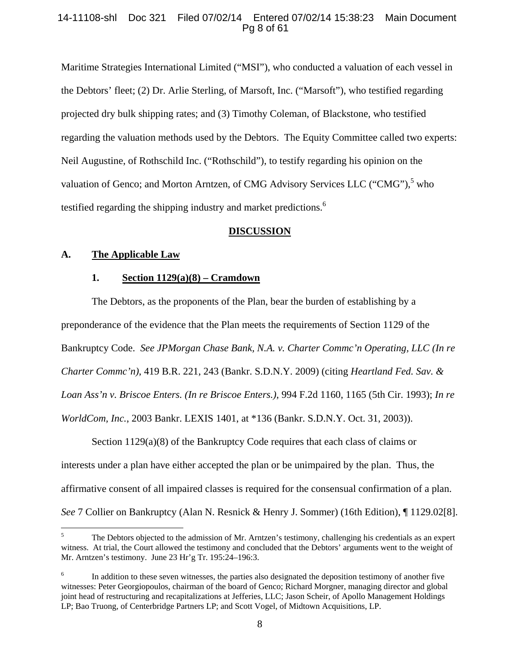# 14-11108-shl Doc 321 Filed 07/02/14 Entered 07/02/14 15:38:23 Main Document Pg 8 of 61

Maritime Strategies International Limited ("MSI"), who conducted a valuation of each vessel in the Debtors' fleet; (2) Dr. Arlie Sterling, of Marsoft, Inc. ("Marsoft"), who testified regarding projected dry bulk shipping rates; and (3) Timothy Coleman, of Blackstone, who testified regarding the valuation methods used by the Debtors. The Equity Committee called two experts: Neil Augustine, of Rothschild Inc. ("Rothschild"), to testify regarding his opinion on the valuation of Genco; and Morton Arntzen, of CMG Advisory Services LLC ("CMG"),<sup>5</sup> who testified regarding the shipping industry and market predictions.<sup>6</sup>

#### **DISCUSSION**

#### **A. The Applicable Law**

 $\overline{a}$ 

#### **1. Section 1129(a)(8) – Cramdown**

The Debtors, as the proponents of the Plan, bear the burden of establishing by a preponderance of the evidence that the Plan meets the requirements of Section 1129 of the Bankruptcy Code. *See JPMorgan Chase Bank, N.A. v. Charter Commc'n Operating, LLC (In re Charter Commc'n)*, 419 B.R. 221, 243 (Bankr. S.D.N.Y. 2009) (citing *Heartland Fed. Sav. & Loan Ass'n v. Briscoe Enters. (In re Briscoe Enters.)*, 994 F.2d 1160, 1165 (5th Cir. 1993); *In re WorldCom, Inc.*, 2003 Bankr. LEXIS 1401, at \*136 (Bankr. S.D.N.Y. Oct. 31, 2003)).

Section  $1129(a)(8)$  of the Bankruptcy Code requires that each class of claims or interests under a plan have either accepted the plan or be unimpaired by the plan. Thus, the affirmative consent of all impaired classes is required for the consensual confirmation of a plan. *See* 7 Collier on Bankruptcy (Alan N. Resnick & Henry J. Sommer) (16th Edition), ¶ 1129.02[8].

<sup>5</sup> The Debtors objected to the admission of Mr. Arntzen's testimony, challenging his credentials as an expert witness. At trial, the Court allowed the testimony and concluded that the Debtors' arguments went to the weight of Mr. Arntzen's testimony. June 23 Hr'g Tr. 195:24–196:3.

<sup>6</sup> In addition to these seven witnesses, the parties also designated the deposition testimony of another five witnesses: Peter Georgiopoulos, chairman of the board of Genco; Richard Morgner, managing director and global joint head of restructuring and recapitalizations at Jefferies, LLC; Jason Scheir, of Apollo Management Holdings LP; Bao Truong, of Centerbridge Partners LP; and Scott Vogel, of Midtown Acquisitions, LP.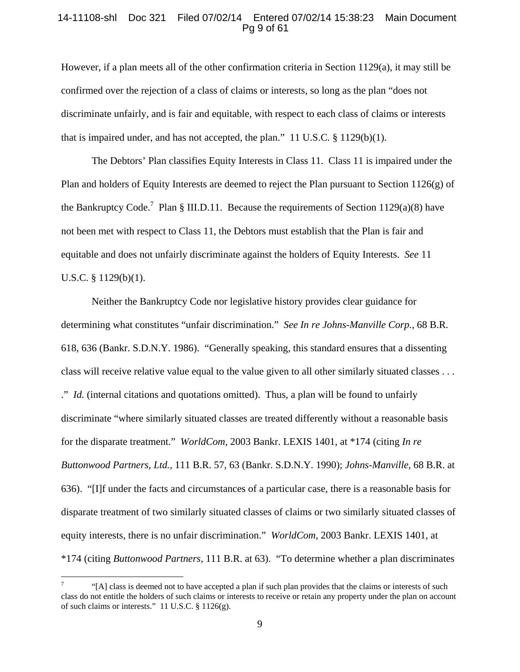#### 14-11108-shl Doc 321 Filed 07/02/14 Entered 07/02/14 15:38:23 Main Document Pg 9 of 61

However, if a plan meets all of the other confirmation criteria in Section 1129(a), it may still be confirmed over the rejection of a class of claims or interests, so long as the plan "does not discriminate unfairly, and is fair and equitable, with respect to each class of claims or interests that is impaired under, and has not accepted, the plan." 11 U.S.C.  $\S 1129(b)(1)$ .

The Debtors' Plan classifies Equity Interests in Class 11. Class 11 is impaired under the Plan and holders of Equity Interests are deemed to reject the Plan pursuant to Section  $1126(g)$  of the Bankruptcy Code.<sup>7</sup> Plan § III.D.11. Because the requirements of Section 1129(a)(8) have not been met with respect to Class 11, the Debtors must establish that the Plan is fair and equitable and does not unfairly discriminate against the holders of Equity Interests. *See* 11 U.S.C. § 1129(b)(1).

Neither the Bankruptcy Code nor legislative history provides clear guidance for determining what constitutes "unfair discrimination." *See In re Johns-Manville Corp.*, 68 B.R. 618, 636 (Bankr. S.D.N.Y. 1986). "Generally speaking, this standard ensures that a dissenting class will receive relative value equal to the value given to all other similarly situated classes . . . ." *Id.* (internal citations and quotations omitted). Thus, a plan will be found to unfairly discriminate "where similarly situated classes are treated differently without a reasonable basis for the disparate treatment." *WorldCom*, 2003 Bankr. LEXIS 1401, at \*174 (citing *In re Buttonwood Partners, Ltd.,* 111 B.R. 57, 63 (Bankr. S.D.N.Y. 1990); *Johns-Manville,* 68 B.R. at 636). "[I]f under the facts and circumstances of a particular case, there is a reasonable basis for disparate treatment of two similarly situated classes of claims or two similarly situated classes of equity interests, there is no unfair discrimination." *WorldCom*, 2003 Bankr. LEXIS 1401, at \*174 (citing *Buttonwood Partners,* 111 B.R. at 63). "To determine whether a plan discriminates

 $\overline{a}$ 

<sup>7</sup> "[A] class is deemed not to have accepted a plan if such plan provides that the claims or interests of such class do not entitle the holders of such claims or interests to receive or retain any property under the plan on account of such claims or interests." 11 U.S.C. § 1126(g).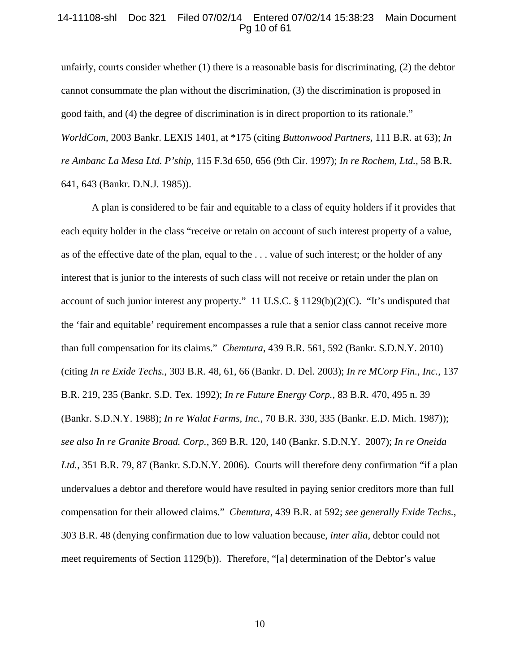### 14-11108-shl Doc 321 Filed 07/02/14 Entered 07/02/14 15:38:23 Main Document Pg 10 of 61

unfairly, courts consider whether (1) there is a reasonable basis for discriminating, (2) the debtor cannot consummate the plan without the discrimination, (3) the discrimination is proposed in good faith, and (4) the degree of discrimination is in direct proportion to its rationale." *WorldCom*, 2003 Bankr. LEXIS 1401, at \*175 (citing *Buttonwood Partners,* 111 B.R. at 63); *In re Ambanc La Mesa Ltd. P'ship,* 115 F.3d 650, 656 (9th Cir. 1997); *In re Rochem, Ltd.,* 58 B.R. 641, 643 (Bankr. D.N.J. 1985)).

A plan is considered to be fair and equitable to a class of equity holders if it provides that each equity holder in the class "receive or retain on account of such interest property of a value, as of the effective date of the plan, equal to the . . . value of such interest; or the holder of any interest that is junior to the interests of such class will not receive or retain under the plan on account of such junior interest any property." 11 U.S.C. § 1129(b)(2)(C). "It's undisputed that the 'fair and equitable' requirement encompasses a rule that a senior class cannot receive more than full compensation for its claims." *Chemtura*, 439 B.R. 561, 592 (Bankr. S.D.N.Y. 2010) (citing *In re Exide Techs.*, 303 B.R. 48, 61, 66 (Bankr. D. Del. 2003); *In re MCorp Fin., Inc.*, 137 B.R. 219, 235 (Bankr. S.D. Tex. 1992); *In re Future Energy Corp.*, 83 B.R. 470, 495 n. 39 (Bankr. S.D.N.Y. 1988); *In re Walat Farms, Inc.*, 70 B.R. 330, 335 (Bankr. E.D. Mich. 1987)); *see also In re Granite Broad. Corp.*, 369 B.R. 120, 140 (Bankr. S.D.N.Y. 2007); *In re Oneida Ltd.*, 351 B.R. 79, 87 (Bankr. S.D.N.Y. 2006). Courts will therefore deny confirmation "if a plan undervalues a debtor and therefore would have resulted in paying senior creditors more than full compensation for their allowed claims." *Chemtura*, 439 B.R. at 592; *see generally Exide Techs.*, 303 B.R. 48 (denying confirmation due to low valuation because, *inter alia*, debtor could not meet requirements of Section 1129(b)). Therefore, "[a] determination of the Debtor's value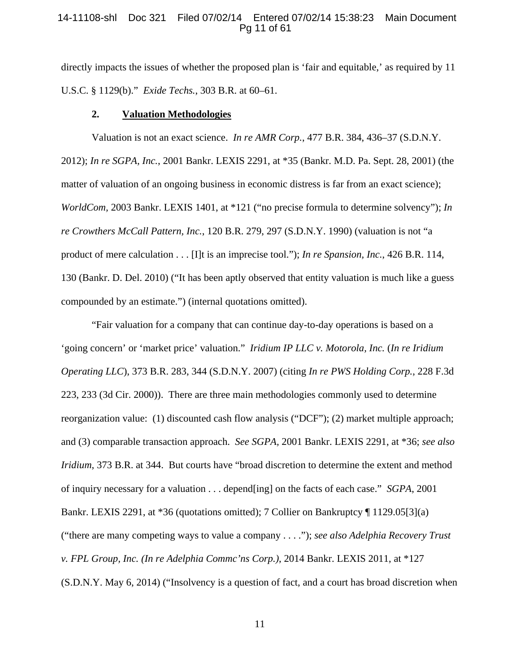# 14-11108-shl Doc 321 Filed 07/02/14 Entered 07/02/14 15:38:23 Main Document Pg 11 of 61

directly impacts the issues of whether the proposed plan is 'fair and equitable,' as required by 11 U.S.C. § 1129(b)." *Exide Techs.*, 303 B.R. at 60–61.

#### **2. Valuation Methodologies**

Valuation is not an exact science. *In re AMR Corp.*, 477 B.R. 384, 436–37 (S.D.N.Y. 2012); *In re SGPA, Inc.*, 2001 Bankr. LEXIS 2291, at \*35 (Bankr. M.D. Pa. Sept. 28, 2001) (the matter of valuation of an ongoing business in economic distress is far from an exact science); *WorldCom,* 2003 Bankr. LEXIS 1401, at \*121 ("no precise formula to determine solvency"); *In re Crowthers McCall Pattern, Inc.*, 120 B.R. 279, 297 (S.D.N.Y. 1990) (valuation is not "a product of mere calculation . . . [I]t is an imprecise tool."); *In re Spansion, Inc.*, 426 B.R. 114, 130 (Bankr. D. Del. 2010) ("It has been aptly observed that entity valuation is much like a guess compounded by an estimate.") (internal quotations omitted).

"Fair valuation for a company that can continue day-to-day operations is based on a 'going concern' or 'market price' valuation." *Iridium IP LLC v. Motorola, Inc.* (*In re Iridium Operating LLC*), 373 B.R. 283, 344 (S.D.N.Y. 2007) (citing *In re PWS Holding Corp.*, 228 F.3d 223, 233 (3d Cir. 2000)). There are three main methodologies commonly used to determine reorganization value: (1) discounted cash flow analysis ("DCF"); (2) market multiple approach; and (3) comparable transaction approach. *See SGPA,* 2001 Bankr. LEXIS 2291, at \*36; *see also Iridium*, 373 B.R. at 344. But courts have "broad discretion to determine the extent and method of inquiry necessary for a valuation . . . depend[ing] on the facts of each case." *SGPA*, 2001 Bankr. LEXIS 2291, at \*36 (quotations omitted); 7 Collier on Bankruptcy ¶ 1129.05[3](a) ("there are many competing ways to value a company . . . ."); *see also Adelphia Recovery Trust v. FPL Group, Inc. (In re Adelphia Commc'ns Corp.)*, 2014 Bankr. LEXIS 2011, at \*127 (S.D.N.Y. May 6, 2014) ("Insolvency is a question of fact, and a court has broad discretion when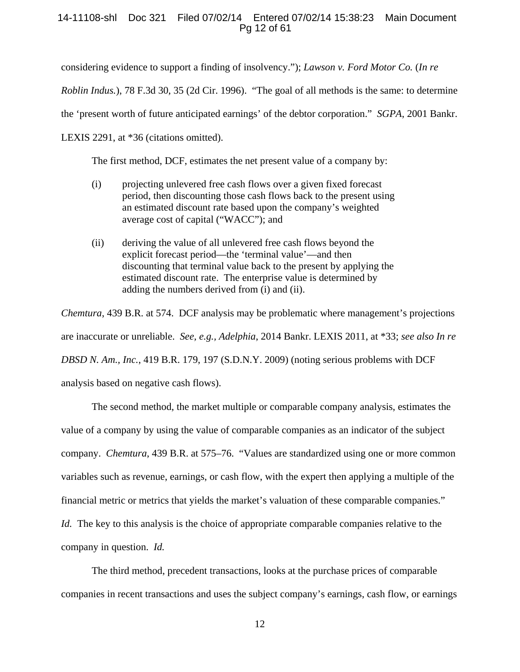# 14-11108-shl Doc 321 Filed 07/02/14 Entered 07/02/14 15:38:23 Main Document Pg 12 of 61

considering evidence to support a finding of insolvency."); *Lawson v. Ford Motor Co.* (*In re* 

*Roblin Indus.*), 78 F.3d 30, 35 (2d Cir. 1996). "The goal of all methods is the same: to determine

the 'present worth of future anticipated earnings' of the debtor corporation." *SGPA*, 2001 Bankr.

LEXIS 2291, at \*36 (citations omitted).

The first method, DCF, estimates the net present value of a company by:

- (i) projecting unlevered free cash flows over a given fixed forecast period, then discounting those cash flows back to the present using an estimated discount rate based upon the company's weighted average cost of capital ("WACC"); and
- (ii) deriving the value of all unlevered free cash flows beyond the explicit forecast period—the 'terminal value'—and then discounting that terminal value back to the present by applying the estimated discount rate. The enterprise value is determined by adding the numbers derived from (i) and (ii).

*Chemtura*, 439 B.R. at 574. DCF analysis may be problematic where management's projections are inaccurate or unreliable. *See, e.g., Adelphia*, 2014 Bankr. LEXIS 2011, at \*33; *see also In re DBSD N. Am., Inc.*, 419 B.R. 179, 197 (S.D.N.Y. 2009) (noting serious problems with DCF analysis based on negative cash flows).

The second method, the market multiple or comparable company analysis, estimates the value of a company by using the value of comparable companies as an indicator of the subject company. *Chemtura*, 439 B.R. at 575–76. "Values are standardized using one or more common variables such as revenue, earnings, or cash flow, with the expert then applying a multiple of the financial metric or metrics that yields the market's valuation of these comparable companies." *Id.* The key to this analysis is the choice of appropriate comparable companies relative to the company in question. *Id.* 

The third method, precedent transactions, looks at the purchase prices of comparable companies in recent transactions and uses the subject company's earnings, cash flow, or earnings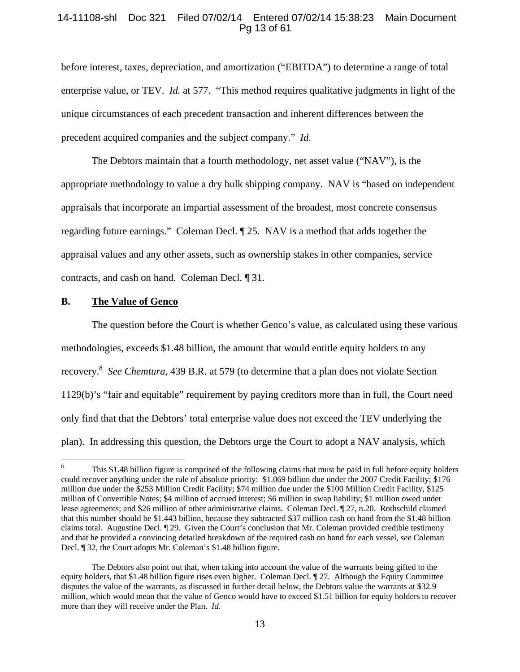# 14-11108-shl Doc 321 Filed 07/02/14 Entered 07/02/14 15:38:23 Main Document Pg 13 of 61

before interest, taxes, depreciation, and amortization ("EBITDA") to determine a range of total enterprise value, or TEV. *Id.* at 577. "This method requires qualitative judgments in light of the unique circumstances of each precedent transaction and inherent differences between the precedent acquired companies and the subject company." *Id.* 

The Debtors maintain that a fourth methodology, net asset value ("NAV"), is the appropriate methodology to value a dry bulk shipping company. NAV is "based on independent appraisals that incorporate an impartial assessment of the broadest, most concrete consensus regarding future earnings." Coleman Decl. ¶ 25. NAV is a method that adds together the appraisal values and any other assets, such as ownership stakes in other companies, service contracts, and cash on hand. Coleman Decl. ¶ 31.

#### **B. The Value of Genco**

 $\overline{a}$ 

The question before the Court is whether Genco's value, as calculated using these various methodologies, exceeds \$1.48 billion, the amount that would entitle equity holders to any recovery.8 *See Chemtura*, 439 B.R. at 579 (to determine that a plan does not violate Section 1129(b)'s "fair and equitable" requirement by paying creditors more than in full, the Court need only find that that the Debtors' total enterprise value does not exceed the TEV underlying the plan). In addressing this question, the Debtors urge the Court to adopt a NAV analysis, which

<sup>8</sup> This \$1.48 billion figure is comprised of the following claims that must be paid in full before equity holders could recover anything under the rule of absolute priority: \$1.069 billion due under the 2007 Credit Facility; \$176 million due under the \$253 Million Credit Facility; \$74 million due under the \$100 Million Credit Facility, \$125 million of Convertible Notes; \$4 million of accrued interest; \$6 million in swap liability; \$1 million owed under lease agreements; and \$26 million of other administrative claims. Coleman Decl. ¶ 27, n.20. Rothschild claimed that this number should be \$1.443 billion, because they subtracted \$37 million cash on hand from the \$1.48 billion claims total. Augustine Decl. ¶ 29. Given the Court's conclusion that Mr. Coleman provided credible testimony and that he provided a convincing detailed breakdown of the required cash on hand for each vessel, *see* Coleman Decl. ¶ 32, the Court adopts Mr. Coleman's \$1.48 billion figure.

The Debtors also point out that, when taking into account the value of the warrants being gifted to the equity holders, that \$1.48 billion figure rises even higher. Coleman Decl. ¶ 27. Although the Equity Committee disputes the value of the warrants, as discussed in further detail below, the Debtors value the warrants at \$32.9 million, which would mean that the value of Genco would have to exceed \$1.51 billion for equity holders to recover more than they will receive under the Plan. *Id.*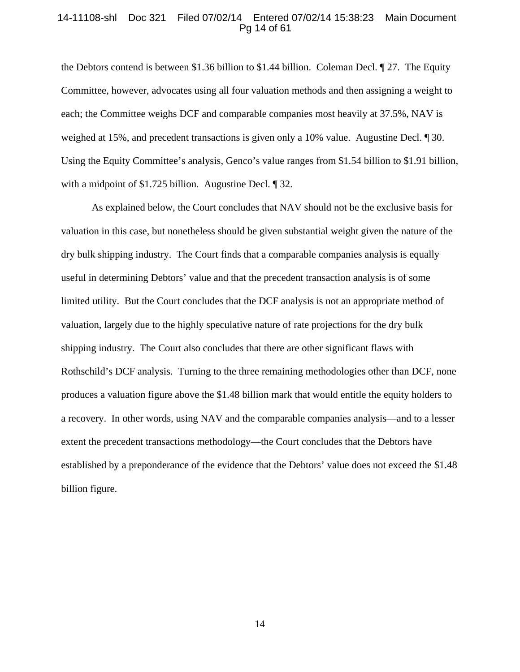#### 14-11108-shl Doc 321 Filed 07/02/14 Entered 07/02/14 15:38:23 Main Document Pg 14 of 61

the Debtors contend is between \$1.36 billion to \$1.44 billion. Coleman Decl. ¶ 27. The Equity Committee, however, advocates using all four valuation methods and then assigning a weight to each; the Committee weighs DCF and comparable companies most heavily at 37.5%, NAV is weighed at 15%, and precedent transactions is given only a 10% value. Augustine Decl. ¶ 30. Using the Equity Committee's analysis, Genco's value ranges from \$1.54 billion to \$1.91 billion, with a midpoint of \$1.725 billion. Augustine Decl. 1 32.

As explained below, the Court concludes that NAV should not be the exclusive basis for valuation in this case, but nonetheless should be given substantial weight given the nature of the dry bulk shipping industry. The Court finds that a comparable companies analysis is equally useful in determining Debtors' value and that the precedent transaction analysis is of some limited utility. But the Court concludes that the DCF analysis is not an appropriate method of valuation, largely due to the highly speculative nature of rate projections for the dry bulk shipping industry. The Court also concludes that there are other significant flaws with Rothschild's DCF analysis. Turning to the three remaining methodologies other than DCF, none produces a valuation figure above the \$1.48 billion mark that would entitle the equity holders to a recovery. In other words, using NAV and the comparable companies analysis—and to a lesser extent the precedent transactions methodology—the Court concludes that the Debtors have established by a preponderance of the evidence that the Debtors' value does not exceed the \$1.48 billion figure.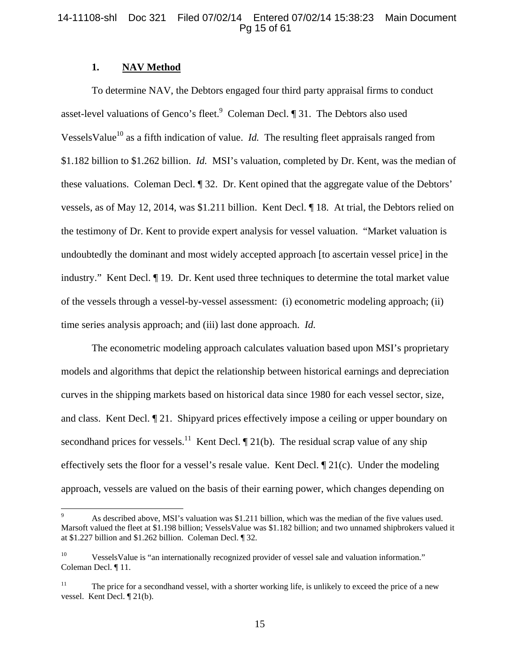# 14-11108-shl Doc 321 Filed 07/02/14 Entered 07/02/14 15:38:23 Main Document Pg 15 of 61

# **1. NAV Method**

 $\overline{a}$ 

To determine NAV, the Debtors engaged four third party appraisal firms to conduct asset-level valuations of Genco's fleet. Coleman Decl.  $\P$  31. The Debtors also used Vessels Value<sup>10</sup> as a fifth indication of value. *Id.* The resulting fleet appraisals ranged from \$1.182 billion to \$1.262 billion. *Id.* MSI's valuation, completed by Dr. Kent, was the median of these valuations. Coleman Decl. ¶ 32. Dr. Kent opined that the aggregate value of the Debtors' vessels, as of May 12, 2014, was \$1.211 billion. Kent Decl. ¶ 18. At trial, the Debtors relied on the testimony of Dr. Kent to provide expert analysis for vessel valuation. "Market valuation is undoubtedly the dominant and most widely accepted approach [to ascertain vessel price] in the industry." Kent Decl. ¶ 19. Dr. Kent used three techniques to determine the total market value of the vessels through a vessel-by-vessel assessment: (i) econometric modeling approach; (ii) time series analysis approach; and (iii) last done approach. *Id.*

The econometric modeling approach calculates valuation based upon MSI's proprietary models and algorithms that depict the relationship between historical earnings and depreciation curves in the shipping markets based on historical data since 1980 for each vessel sector, size, and class. Kent Decl. ¶ 21. Shipyard prices effectively impose a ceiling or upper boundary on secondhand prices for vessels.<sup>11</sup> Kent Decl.  $\P$  21(b). The residual scrap value of any ship effectively sets the floor for a vessel's resale value. Kent Decl. ¶ 21(c). Under the modeling approach, vessels are valued on the basis of their earning power, which changes depending on

<sup>9</sup> As described above, MSI's valuation was \$1.211 billion, which was the median of the five values used. Marsoft valued the fleet at \$1.198 billion; VesselsValue was \$1.182 billion; and two unnamed shipbrokers valued it at \$1.227 billion and \$1.262 billion. Coleman Decl. ¶ 32.

<sup>&</sup>lt;sup>10</sup> Vessels Value is "an internationally recognized provider of vessel sale and valuation information." Coleman Decl. ¶ 11.

 $11$  The price for a secondhand vessel, with a shorter working life, is unlikely to exceed the price of a new vessel. Kent Decl. ¶ 21(b).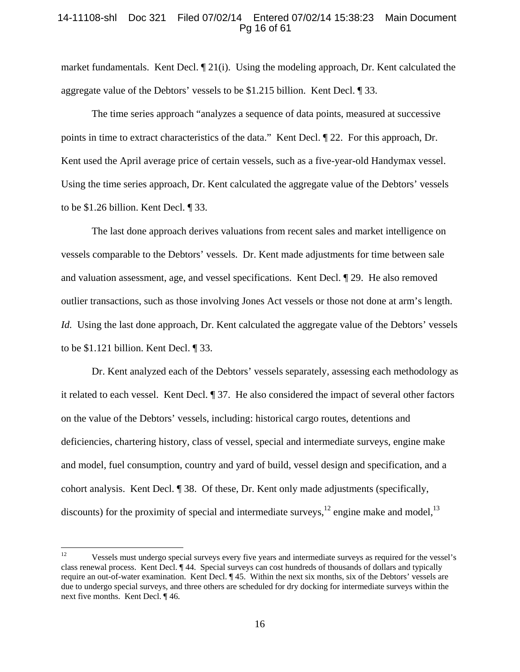# 14-11108-shl Doc 321 Filed 07/02/14 Entered 07/02/14 15:38:23 Main Document Pg 16 of 61

market fundamentals. Kent Decl. ¶ 21(i). Using the modeling approach, Dr. Kent calculated the aggregate value of the Debtors' vessels to be \$1.215 billion. Kent Decl. ¶ 33.

The time series approach "analyzes a sequence of data points, measured at successive points in time to extract characteristics of the data." Kent Decl. ¶ 22. For this approach, Dr. Kent used the April average price of certain vessels, such as a five-year-old Handymax vessel. Using the time series approach, Dr. Kent calculated the aggregate value of the Debtors' vessels to be \$1.26 billion. Kent Decl. ¶ 33.

The last done approach derives valuations from recent sales and market intelligence on vessels comparable to the Debtors' vessels. Dr. Kent made adjustments for time between sale and valuation assessment, age, and vessel specifications. Kent Decl. ¶ 29. He also removed outlier transactions, such as those involving Jones Act vessels or those not done at arm's length. *Id.* Using the last done approach, Dr. Kent calculated the aggregate value of the Debtors' vessels to be \$1.121 billion. Kent Decl. ¶ 33.

Dr. Kent analyzed each of the Debtors' vessels separately, assessing each methodology as it related to each vessel. Kent Decl. ¶ 37. He also considered the impact of several other factors on the value of the Debtors' vessels, including: historical cargo routes, detentions and deficiencies, chartering history, class of vessel, special and intermediate surveys, engine make and model, fuel consumption, country and yard of build, vessel design and specification, and a cohort analysis. Kent Decl. ¶ 38. Of these, Dr. Kent only made adjustments (specifically, discounts) for the proximity of special and intermediate surveys,  $^{12}$  engine make and model,  $^{13}$ 

 $12 \,$ 12 Vessels must undergo special surveys every five years and intermediate surveys as required for the vessel's class renewal process. Kent Decl. ¶ 44. Special surveys can cost hundreds of thousands of dollars and typically require an out-of-water examination. Kent Decl. ¶ 45. Within the next six months, six of the Debtors' vessels are due to undergo special surveys, and three others are scheduled for dry docking for intermediate surveys within the next five months. Kent Decl. ¶ 46.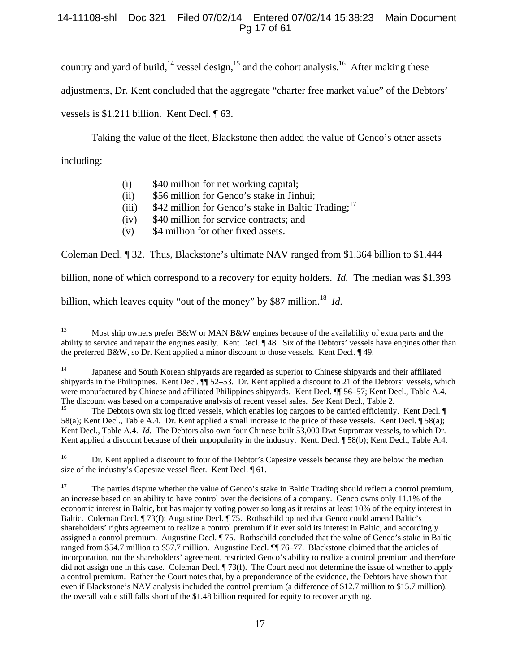# 14-11108-shl Doc 321 Filed 07/02/14 Entered 07/02/14 15:38:23 Main Document Pg 17 of 61

country and yard of build,<sup>14</sup> vessel design,<sup>15</sup> and the cohort analysis.<sup>16</sup> After making these

adjustments, Dr. Kent concluded that the aggregate "charter free market value" of the Debtors'

vessels is \$1.211 billion. Kent Decl. ¶ 63.

Taking the value of the fleet, Blackstone then added the value of Genco's other assets

including:

- (i) \$40 million for net working capital;
- (ii) \$56 million for Genco's stake in Jinhui;
- (iii)  $$42$  million for Genco's stake in Baltic Trading;<sup>17</sup>
- (iv) \$40 million for service contracts; and
- (v) \$4 million for other fixed assets.

Coleman Decl. ¶ 32. Thus, Blackstone's ultimate NAV ranged from \$1.364 billion to \$1.444

billion, none of which correspond to a recovery for equity holders. *Id.* The median was \$1.393

billion, which leaves equity "out of the money" by \$87 million.<sup>18</sup> *Id.* 

<sup>16</sup> Dr. Kent applied a discount to four of the Debtor's Capesize vessels because they are below the median size of the industry's Capesize vessel fleet. Kent Decl. ¶ 61.

<sup>17</sup> The parties dispute whether the value of Genco's stake in Baltic Trading should reflect a control premium, an increase based on an ability to have control over the decisions of a company. Genco owns only 11.1% of the economic interest in Baltic, but has majority voting power so long as it retains at least 10% of the equity interest in Baltic. Coleman Decl. ¶ 73(f); Augustine Decl. ¶ 75. Rothschild opined that Genco could amend Baltic's shareholders' rights agreement to realize a control premium if it ever sold its interest in Baltic, and accordingly assigned a control premium. Augustine Decl. ¶ 75. Rothschild concluded that the value of Genco's stake in Baltic ranged from \$54.7 million to \$57.7 million. Augustine Decl. ¶¶ 76–77. Blackstone claimed that the articles of incorporation, not the shareholders' agreement, restricted Genco's ability to realize a control premium and therefore did not assign one in this case. Coleman Decl. ¶ 73(f). The Court need not determine the issue of whether to apply a control premium. Rather the Court notes that, by a preponderance of the evidence, the Debtors have shown that even if Blackstone's NAV analysis included the control premium (a difference of \$12.7 million to \$15.7 million), the overall value still falls short of the \$1.48 billion required for equity to recover anything.

 <sup>13</sup> Most ship owners prefer B&W or MAN B&W engines because of the availability of extra parts and the ability to service and repair the engines easily. Kent Decl. ¶ 48. Six of the Debtors' vessels have engines other than the preferred B&W, so Dr. Kent applied a minor discount to those vessels. Kent Decl. ¶ 49.

<sup>&</sup>lt;sup>14</sup> Japanese and South Korean shipyards are regarded as superior to Chinese shipyards and their affiliated shipyards in the Philippines. Kent Decl. ¶¶ 52–53. Dr. Kent applied a discount to 21 of the Debtors' vessels, which were manufactured by Chinese and affiliated Philippines shipyards. Kent Decl. ¶ 56–57; Kent Decl., Table A.4.

The discount was based on a comparative analysis of recent vessel sales. *See* Kent Decl., Table 2.<br><sup>15</sup> The Debtors own six log fitted vessels, which enables log cargoes to be carried efficiently. Kent Decl. ¶ 58(a); Kent Decl., Table A.4. Dr. Kent applied a small increase to the price of these vessels. Kent Decl. ¶ 58(a); Kent Decl., Table A.4. *Id.* The Debtors also own four Chinese built 53,000 Dwt Supramax vessels, to which Dr. Kent applied a discount because of their unpopularity in the industry. Kent. Decl. ¶ 58(b); Kent Decl., Table A.4.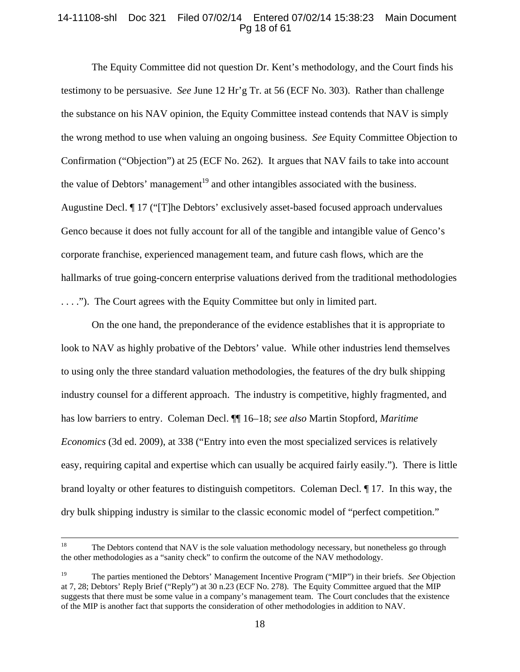# 14-11108-shl Doc 321 Filed 07/02/14 Entered 07/02/14 15:38:23 Main Document Pg 18 of 61

The Equity Committee did not question Dr. Kent's methodology, and the Court finds his testimony to be persuasive. *See* June 12 Hr'g Tr. at 56 (ECF No. 303). Rather than challenge the substance on his NAV opinion, the Equity Committee instead contends that NAV is simply the wrong method to use when valuing an ongoing business. *See* Equity Committee Objection to Confirmation ("Objection") at 25 (ECF No. 262). It argues that NAV fails to take into account the value of Debtors' management<sup>19</sup> and other intangibles associated with the business. Augustine Decl. ¶ 17 ("[T]he Debtors' exclusively asset-based focused approach undervalues Genco because it does not fully account for all of the tangible and intangible value of Genco's corporate franchise, experienced management team, and future cash flows, which are the hallmarks of true going-concern enterprise valuations derived from the traditional methodologies . . . ."). The Court agrees with the Equity Committee but only in limited part.

On the one hand, the preponderance of the evidence establishes that it is appropriate to look to NAV as highly probative of the Debtors' value. While other industries lend themselves to using only the three standard valuation methodologies, the features of the dry bulk shipping industry counsel for a different approach. The industry is competitive, highly fragmented, and has low barriers to entry. Coleman Decl. ¶¶ 16–18; *see also* Martin Stopford, *Maritime Economics* (3d ed. 2009), at 338 ("Entry into even the most specialized services is relatively easy, requiring capital and expertise which can usually be acquired fairly easily."). There is little brand loyalty or other features to distinguish competitors. Coleman Decl. ¶ 17. In this way, the dry bulk shipping industry is similar to the classic economic model of "perfect competition."

<sup>&</sup>lt;sup>18</sup> The Debtors contend that NAV is the sole valuation methodology necessary, but nonetheless go through the other methodologies as a "sanity check" to confirm the outcome of the NAV methodology.

<sup>19</sup> The parties mentioned the Debtors' Management Incentive Program ("MIP") in their briefs. *See* Objection at 7, 28; Debtors' Reply Brief ("Reply") at 30 n.23 (ECF No. 278). The Equity Committee argued that the MIP suggests that there must be some value in a company's management team. The Court concludes that the existence of the MIP is another fact that supports the consideration of other methodologies in addition to NAV.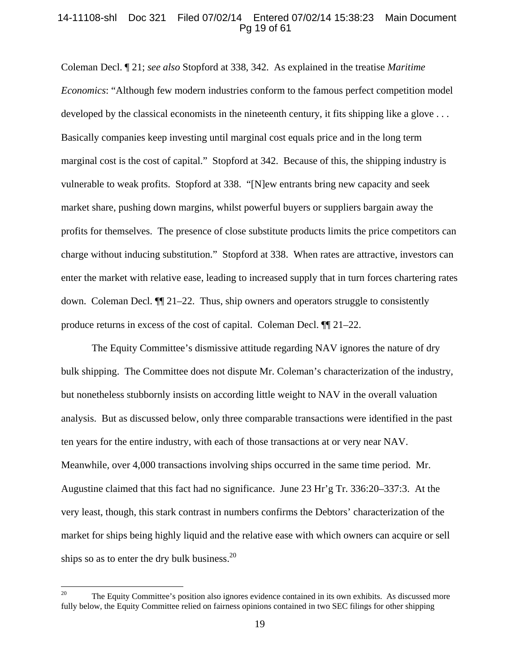## 14-11108-shl Doc 321 Filed 07/02/14 Entered 07/02/14 15:38:23 Main Document Pg 19 of 61

Coleman Decl. ¶ 21; *see also* Stopford at 338, 342. As explained in the treatise *Maritime Economics*: "Although few modern industries conform to the famous perfect competition model developed by the classical economists in the nineteenth century, it fits shipping like a glove  $\dots$ Basically companies keep investing until marginal cost equals price and in the long term marginal cost is the cost of capital." Stopford at 342. Because of this, the shipping industry is vulnerable to weak profits. Stopford at 338. "[N]ew entrants bring new capacity and seek market share, pushing down margins, whilst powerful buyers or suppliers bargain away the profits for themselves. The presence of close substitute products limits the price competitors can charge without inducing substitution." Stopford at 338. When rates are attractive, investors can enter the market with relative ease, leading to increased supply that in turn forces chartering rates down. Coleman Decl. ¶¶ 21–22. Thus, ship owners and operators struggle to consistently produce returns in excess of the cost of capital. Coleman Decl. ¶¶ 21–22.

The Equity Committee's dismissive attitude regarding NAV ignores the nature of dry bulk shipping. The Committee does not dispute Mr. Coleman's characterization of the industry, but nonetheless stubbornly insists on according little weight to NAV in the overall valuation analysis. But as discussed below, only three comparable transactions were identified in the past ten years for the entire industry, with each of those transactions at or very near NAV. Meanwhile, over 4,000 transactions involving ships occurred in the same time period. Mr. Augustine claimed that this fact had no significance. June 23 Hr'g Tr. 336:20–337:3. At the very least, though, this stark contrast in numbers confirms the Debtors' characterization of the market for ships being highly liquid and the relative ease with which owners can acquire or sell ships so as to enter the dry bulk business. $^{20}$ 

 $20\,$ The Equity Committee's position also ignores evidence contained in its own exhibits. As discussed more fully below, the Equity Committee relied on fairness opinions contained in two SEC filings for other shipping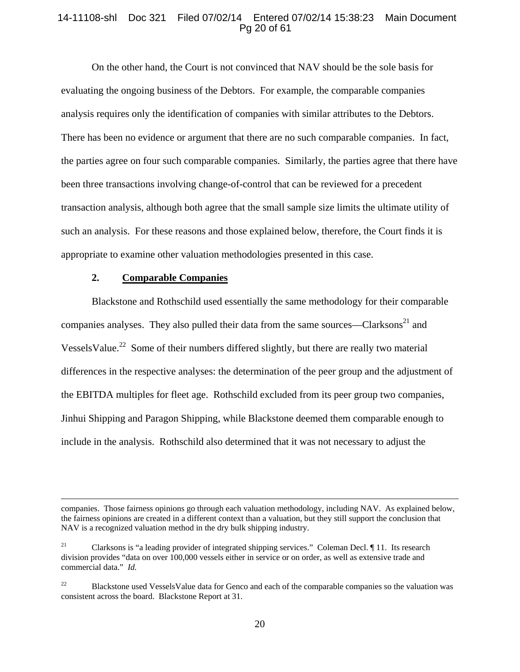## 14-11108-shl Doc 321 Filed 07/02/14 Entered 07/02/14 15:38:23 Main Document Pg 20 of 61

On the other hand, the Court is not convinced that NAV should be the sole basis for evaluating the ongoing business of the Debtors. For example, the comparable companies analysis requires only the identification of companies with similar attributes to the Debtors. There has been no evidence or argument that there are no such comparable companies. In fact, the parties agree on four such comparable companies. Similarly, the parties agree that there have been three transactions involving change-of-control that can be reviewed for a precedent transaction analysis, although both agree that the small sample size limits the ultimate utility of such an analysis. For these reasons and those explained below, therefore, the Court finds it is appropriate to examine other valuation methodologies presented in this case.

# **2. Comparable Companies**

Blackstone and Rothschild used essentially the same methodology for their comparable companies analyses. They also pulled their data from the same sources—Clarksons $^{21}$  and Vessels Value.<sup>22</sup> Some of their numbers differed slightly, but there are really two material differences in the respective analyses: the determination of the peer group and the adjustment of the EBITDA multiples for fleet age. Rothschild excluded from its peer group two companies, Jinhui Shipping and Paragon Shipping, while Blackstone deemed them comparable enough to include in the analysis. Rothschild also determined that it was not necessary to adjust the

companies. Those fairness opinions go through each valuation methodology, including NAV. As explained below, the fairness opinions are created in a different context than a valuation, but they still support the conclusion that NAV is a recognized valuation method in the dry bulk shipping industry.

<sup>&</sup>lt;sup>21</sup> Clarksons is "a leading provider of integrated shipping services." Coleman Decl.  $\llbracket$  11. Its research division provides "data on over 100,000 vessels either in service or on order, as well as extensive trade and commercial data." *Id.* 

<sup>&</sup>lt;sup>22</sup> Blackstone used VesselsValue data for Genco and each of the comparable companies so the valuation was consistent across the board. Blackstone Report at 31.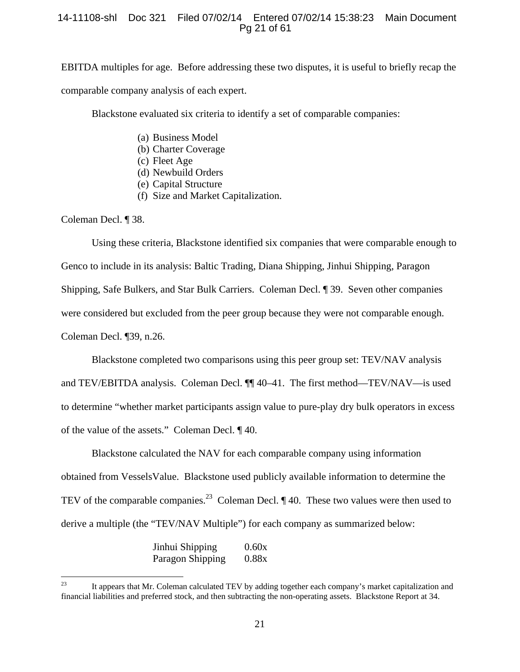# 14-11108-shl Doc 321 Filed 07/02/14 Entered 07/02/14 15:38:23 Main Document Pg 21 of 61

EBITDA multiples for age. Before addressing these two disputes, it is useful to briefly recap the comparable company analysis of each expert.

Blackstone evaluated six criteria to identify a set of comparable companies:

- (a) Business Model
- (b) Charter Coverage
- (c) Fleet Age
- (d) Newbuild Orders
- (e) Capital Structure
- (f) Size and Market Capitalization.

Coleman Decl. ¶ 38.

Using these criteria, Blackstone identified six companies that were comparable enough to Genco to include in its analysis: Baltic Trading, Diana Shipping, Jinhui Shipping, Paragon Shipping, Safe Bulkers, and Star Bulk Carriers. Coleman Decl. ¶ 39. Seven other companies were considered but excluded from the peer group because they were not comparable enough. Coleman Decl. ¶39, n.26.

Blackstone completed two comparisons using this peer group set: TEV/NAV analysis and TEV/EBITDA analysis. Coleman Decl. ¶¶ 40–41. The first method—TEV/NAV—is used to determine "whether market participants assign value to pure-play dry bulk operators in excess of the value of the assets." Coleman Decl. ¶ 40.

Blackstone calculated the NAV for each comparable company using information obtained from VesselsValue. Blackstone used publicly available information to determine the TEV of the comparable companies.<sup>23</sup> Coleman Decl.  $\P$  40. These two values were then used to derive a multiple (the "TEV/NAV Multiple") for each company as summarized below:

| Jinhui Shipping  | 0.60x |
|------------------|-------|
| Paragon Shipping | 0.88x |

<sup>23</sup> 23 It appears that Mr. Coleman calculated TEV by adding together each company's market capitalization and financial liabilities and preferred stock, and then subtracting the non-operating assets. Blackstone Report at 34.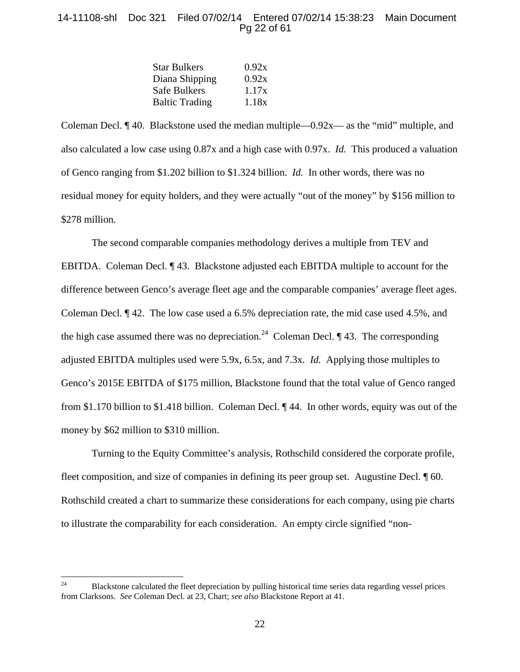# 14-11108-shl Doc 321 Filed 07/02/14 Entered 07/02/14 15:38:23 Main Document Pg 22 of 61

| 0.92x |
|-------|
| 0.92x |
| 1.17x |
| 1.18x |
|       |

Coleman Decl.  $\P$  40. Blackstone used the median multiple—0.92x— as the "mid" multiple, and also calculated a low case using 0.87x and a high case with 0.97x. *Id.* This produced a valuation of Genco ranging from \$1.202 billion to \$1.324 billion. *Id.* In other words, there was no residual money for equity holders, and they were actually "out of the money" by \$156 million to \$278 million.

The second comparable companies methodology derives a multiple from TEV and EBITDA. Coleman Decl. ¶ 43. Blackstone adjusted each EBITDA multiple to account for the difference between Genco's average fleet age and the comparable companies' average fleet ages. Coleman Decl. ¶ 42. The low case used a 6.5% depreciation rate, the mid case used 4.5%, and the high case assumed there was no depreciation.<sup>24</sup> Coleman Decl.  $\P$  43. The corresponding adjusted EBITDA multiples used were 5.9x, 6.5x, and 7.3x. *Id.* Applying those multiples to Genco's 2015E EBITDA of \$175 million, Blackstone found that the total value of Genco ranged from \$1.170 billion to \$1.418 billion. Coleman Decl. ¶ 44. In other words, equity was out of the money by \$62 million to \$310 million.

Turning to the Equity Committee's analysis, Rothschild considered the corporate profile, fleet composition, and size of companies in defining its peer group set. Augustine Decl.  $\P$  60. Rothschild created a chart to summarize these considerations for each company, using pie charts to illustrate the comparability for each consideration. An empty circle signified "non-

 $24$ 24 Blackstone calculated the fleet depreciation by pulling historical time series data regarding vessel prices from Clarksons. *See* Coleman Decl. at 23, Chart; *see also* Blackstone Report at 41.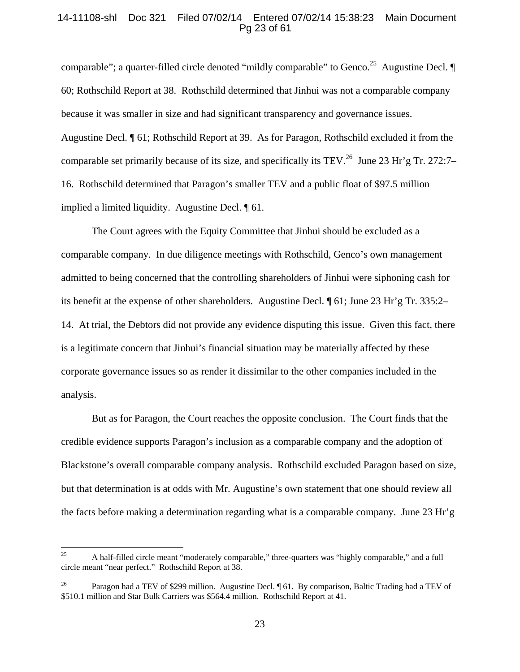## 14-11108-shl Doc 321 Filed 07/02/14 Entered 07/02/14 15:38:23 Main Document Pg 23 of 61

comparable"; a quarter-filled circle denoted "mildly comparable" to Genco.<sup>25</sup> Augustine Decl.  $\P$ 60; Rothschild Report at 38. Rothschild determined that Jinhui was not a comparable company because it was smaller in size and had significant transparency and governance issues. Augustine Decl. ¶ 61; Rothschild Report at 39. As for Paragon, Rothschild excluded it from the comparable set primarily because of its size, and specifically its TEV.<sup>26</sup> June 23 Hr'g Tr. 272:7– 16. Rothschild determined that Paragon's smaller TEV and a public float of \$97.5 million implied a limited liquidity. Augustine Decl. ¶ 61.

The Court agrees with the Equity Committee that Jinhui should be excluded as a comparable company. In due diligence meetings with Rothschild, Genco's own management admitted to being concerned that the controlling shareholders of Jinhui were siphoning cash for its benefit at the expense of other shareholders. Augustine Decl. ¶ 61; June 23 Hr'g Tr. 335:2– 14. At trial, the Debtors did not provide any evidence disputing this issue. Given this fact, there is a legitimate concern that Jinhui's financial situation may be materially affected by these corporate governance issues so as render it dissimilar to the other companies included in the analysis.

But as for Paragon, the Court reaches the opposite conclusion. The Court finds that the credible evidence supports Paragon's inclusion as a comparable company and the adoption of Blackstone's overall comparable company analysis. Rothschild excluded Paragon based on size, but that determination is at odds with Mr. Augustine's own statement that one should review all the facts before making a determination regarding what is a comparable company. June 23 Hr'g

<sup>25</sup> 25 A half-filled circle meant "moderately comparable," three-quarters was "highly comparable," and a full circle meant "near perfect." Rothschild Report at 38.

<sup>&</sup>lt;sup>26</sup> Paragon had a TEV of \$299 million. Augustine Decl. [61. By comparison, Baltic Trading had a TEV of \$510.1 million and Star Bulk Carriers was \$564.4 million. Rothschild Report at 41.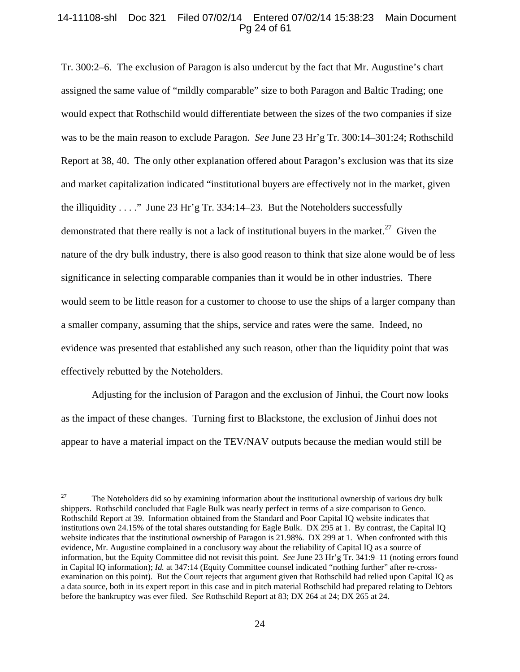## 14-11108-shl Doc 321 Filed 07/02/14 Entered 07/02/14 15:38:23 Main Document Pg 24 of 61

Tr. 300:2–6. The exclusion of Paragon is also undercut by the fact that Mr. Augustine's chart assigned the same value of "mildly comparable" size to both Paragon and Baltic Trading; one would expect that Rothschild would differentiate between the sizes of the two companies if size was to be the main reason to exclude Paragon. *See* June 23 Hr'g Tr. 300:14–301:24; Rothschild Report at 38, 40. The only other explanation offered about Paragon's exclusion was that its size and market capitalization indicated "institutional buyers are effectively not in the market, given the illiquidity . . . ." June 23 Hr'g Tr. 334:14–23. But the Noteholders successfully demonstrated that there really is not a lack of institutional buyers in the market.<sup>27</sup> Given the nature of the dry bulk industry, there is also good reason to think that size alone would be of less significance in selecting comparable companies than it would be in other industries. There would seem to be little reason for a customer to choose to use the ships of a larger company than a smaller company, assuming that the ships, service and rates were the same. Indeed, no evidence was presented that established any such reason, other than the liquidity point that was effectively rebutted by the Noteholders.

 Adjusting for the inclusion of Paragon and the exclusion of Jinhui, the Court now looks as the impact of these changes. Turning first to Blackstone, the exclusion of Jinhui does not appear to have a material impact on the TEV/NAV outputs because the median would still be

<sup>27</sup> 27 The Noteholders did so by examining information about the institutional ownership of various dry bulk shippers. Rothschild concluded that Eagle Bulk was nearly perfect in terms of a size comparison to Genco. Rothschild Report at 39. Information obtained from the Standard and Poor Capital IQ website indicates that institutions own 24.15% of the total shares outstanding for Eagle Bulk. DX 295 at 1. By contrast, the Capital IQ website indicates that the institutional ownership of Paragon is 21.98%. DX 299 at 1. When confronted with this evidence, Mr. Augustine complained in a conclusory way about the reliability of Capital IQ as a source of information, but the Equity Committee did not revisit this point. *See* June 23 Hr'g Tr. 341:9–11 (noting errors found in Capital IQ information); *Id.* at 347:14 (Equity Committee counsel indicated "nothing further" after re-crossexamination on this point). But the Court rejects that argument given that Rothschild had relied upon Capital IQ as a data source, both in its expert report in this case and in pitch material Rothschild had prepared relating to Debtors before the bankruptcy was ever filed. *See* Rothschild Report at 83; DX 264 at 24; DX 265 at 24.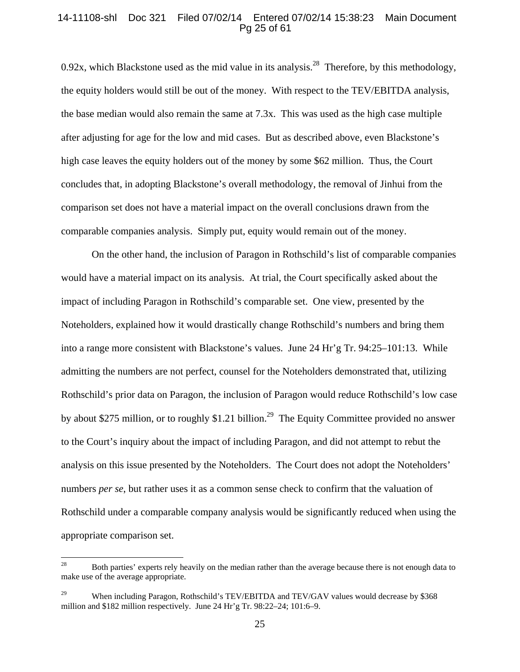## 14-11108-shl Doc 321 Filed 07/02/14 Entered 07/02/14 15:38:23 Main Document Pg 25 of 61

0.92x, which Blackstone used as the mid value in its analysis.<sup>28</sup> Therefore, by this methodology, the equity holders would still be out of the money. With respect to the TEV/EBITDA analysis, the base median would also remain the same at 7.3x. This was used as the high case multiple after adjusting for age for the low and mid cases. But as described above, even Blackstone's high case leaves the equity holders out of the money by some \$62 million. Thus, the Court concludes that, in adopting Blackstone's overall methodology, the removal of Jinhui from the comparison set does not have a material impact on the overall conclusions drawn from the comparable companies analysis. Simply put, equity would remain out of the money.

On the other hand, the inclusion of Paragon in Rothschild's list of comparable companies would have a material impact on its analysis. At trial, the Court specifically asked about the impact of including Paragon in Rothschild's comparable set. One view, presented by the Noteholders, explained how it would drastically change Rothschild's numbers and bring them into a range more consistent with Blackstone's values. June 24 Hr'g Tr. 94:25–101:13. While admitting the numbers are not perfect, counsel for the Noteholders demonstrated that, utilizing Rothschild's prior data on Paragon, the inclusion of Paragon would reduce Rothschild's low case by about \$275 million, or to roughly \$1.21 billion.<sup>29</sup> The Equity Committee provided no answer to the Court's inquiry about the impact of including Paragon, and did not attempt to rebut the analysis on this issue presented by the Noteholders. The Court does not adopt the Noteholders' numbers *per se*, but rather uses it as a common sense check to confirm that the valuation of Rothschild under a comparable company analysis would be significantly reduced when using the appropriate comparison set.

<sup>28</sup> 28 Both parties' experts rely heavily on the median rather than the average because there is not enough data to make use of the average appropriate.

<sup>&</sup>lt;sup>29</sup> When including Paragon, Rothschild's TEV/EBITDA and TEV/GAV values would decrease by \$368 million and \$182 million respectively. June 24 Hr'g Tr. 98:22–24; 101:6–9.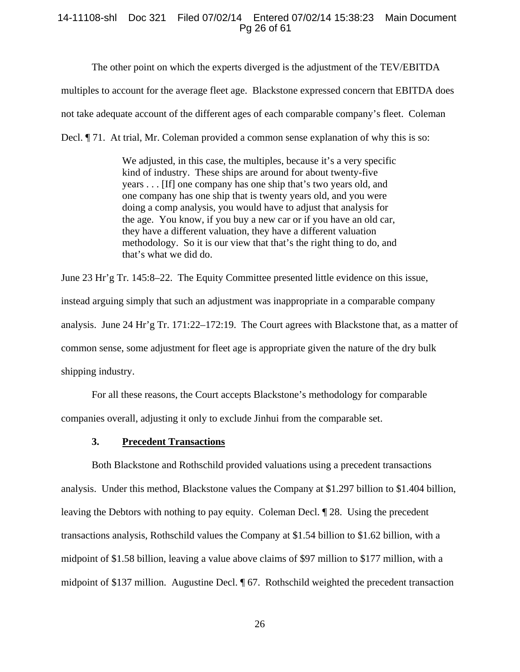## 14-11108-shl Doc 321 Filed 07/02/14 Entered 07/02/14 15:38:23 Main Document Pg 26 of 61

The other point on which the experts diverged is the adjustment of the TEV/EBITDA

multiples to account for the average fleet age. Blackstone expressed concern that EBITDA does

not take adequate account of the different ages of each comparable company's fleet. Coleman

Decl. ¶ 71. At trial, Mr. Coleman provided a common sense explanation of why this is so:

We adjusted, in this case, the multiples, because it's a very specific kind of industry. These ships are around for about twenty-five years . . . [If] one company has one ship that's two years old, and one company has one ship that is twenty years old, and you were doing a comp analysis, you would have to adjust that analysis for the age. You know, if you buy a new car or if you have an old car, they have a different valuation, they have a different valuation methodology. So it is our view that that's the right thing to do, and that's what we did do.

June 23 Hr'g Tr. 145:8–22. The Equity Committee presented little evidence on this issue, instead arguing simply that such an adjustment was inappropriate in a comparable company analysis. June 24 Hr'g Tr. 171:22–172:19. The Court agrees with Blackstone that, as a matter of common sense, some adjustment for fleet age is appropriate given the nature of the dry bulk shipping industry.

For all these reasons, the Court accepts Blackstone's methodology for comparable companies overall, adjusting it only to exclude Jinhui from the comparable set.

#### **3. Precedent Transactions**

Both Blackstone and Rothschild provided valuations using a precedent transactions analysis. Under this method, Blackstone values the Company at \$1.297 billion to \$1.404 billion, leaving the Debtors with nothing to pay equity. Coleman Decl. ¶ 28. Using the precedent transactions analysis, Rothschild values the Company at \$1.54 billion to \$1.62 billion, with a midpoint of \$1.58 billion, leaving a value above claims of \$97 million to \$177 million, with a midpoint of \$137 million. Augustine Decl. ¶ 67. Rothschild weighted the precedent transaction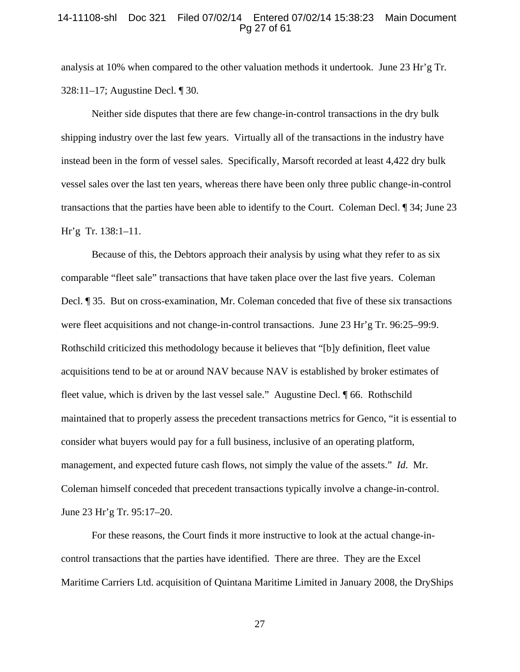#### 14-11108-shl Doc 321 Filed 07/02/14 Entered 07/02/14 15:38:23 Main Document Pg 27 of 61

analysis at 10% when compared to the other valuation methods it undertook. June 23 Hr'g Tr. 328:11–17; Augustine Decl. ¶ 30.

 Neither side disputes that there are few change-in-control transactions in the dry bulk shipping industry over the last few years. Virtually all of the transactions in the industry have instead been in the form of vessel sales. Specifically, Marsoft recorded at least 4,422 dry bulk vessel sales over the last ten years, whereas there have been only three public change-in-control transactions that the parties have been able to identify to the Court. Coleman Decl. ¶ 34; June 23 Hr'g Tr. 138:1–11.

 Because of this, the Debtors approach their analysis by using what they refer to as six comparable "fleet sale" transactions that have taken place over the last five years. Coleman Decl. ¶ 35. But on cross-examination, Mr. Coleman conceded that five of these six transactions were fleet acquisitions and not change-in-control transactions. June 23 Hr'g Tr. 96:25–99:9. Rothschild criticized this methodology because it believes that "[b]y definition, fleet value acquisitions tend to be at or around NAV because NAV is established by broker estimates of fleet value, which is driven by the last vessel sale." Augustine Decl. ¶ 66. Rothschild maintained that to properly assess the precedent transactions metrics for Genco, "it is essential to consider what buyers would pay for a full business, inclusive of an operating platform, management, and expected future cash flows, not simply the value of the assets." *Id*. Mr. Coleman himself conceded that precedent transactions typically involve a change-in-control. June 23 Hr'g Tr. 95:17–20.

For these reasons, the Court finds it more instructive to look at the actual change-incontrol transactions that the parties have identified. There are three. They are the Excel Maritime Carriers Ltd. acquisition of Quintana Maritime Limited in January 2008, the DryShips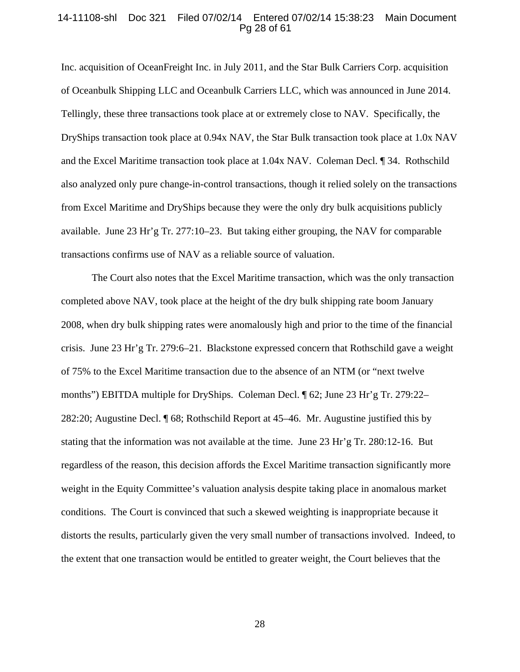#### 14-11108-shl Doc 321 Filed 07/02/14 Entered 07/02/14 15:38:23 Main Document Pg 28 of 61

Inc. acquisition of OceanFreight Inc. in July 2011, and the Star Bulk Carriers Corp. acquisition of Oceanbulk Shipping LLC and Oceanbulk Carriers LLC, which was announced in June 2014. Tellingly, these three transactions took place at or extremely close to NAV. Specifically, the DryShips transaction took place at 0.94x NAV, the Star Bulk transaction took place at 1.0x NAV and the Excel Maritime transaction took place at 1.04x NAV. Coleman Decl. ¶ 34. Rothschild also analyzed only pure change-in-control transactions, though it relied solely on the transactions from Excel Maritime and DryShips because they were the only dry bulk acquisitions publicly available. June 23 Hr'g Tr. 277:10–23. But taking either grouping, the NAV for comparable transactions confirms use of NAV as a reliable source of valuation.

The Court also notes that the Excel Maritime transaction, which was the only transaction completed above NAV, took place at the height of the dry bulk shipping rate boom January 2008, when dry bulk shipping rates were anomalously high and prior to the time of the financial crisis. June 23 Hr'g Tr. 279:6–21. Blackstone expressed concern that Rothschild gave a weight of 75% to the Excel Maritime transaction due to the absence of an NTM (or "next twelve months") EBITDA multiple for DryShips. Coleman Decl. ¶ 62; June 23 Hr'g Tr. 279:22– 282:20; Augustine Decl. ¶ 68; Rothschild Report at 45–46. Mr. Augustine justified this by stating that the information was not available at the time. June 23 Hr'g Tr. 280:12-16. But regardless of the reason, this decision affords the Excel Maritime transaction significantly more weight in the Equity Committee's valuation analysis despite taking place in anomalous market conditions. The Court is convinced that such a skewed weighting is inappropriate because it distorts the results, particularly given the very small number of transactions involved. Indeed, to the extent that one transaction would be entitled to greater weight, the Court believes that the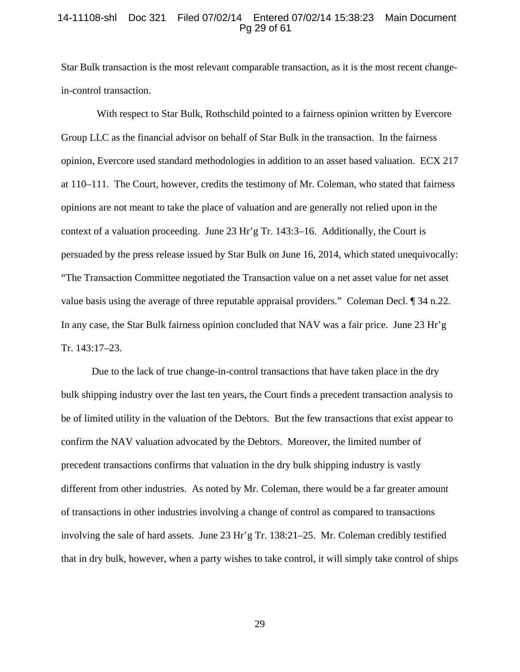#### 14-11108-shl Doc 321 Filed 07/02/14 Entered 07/02/14 15:38:23 Main Document Pg 29 of 61

Star Bulk transaction is the most relevant comparable transaction, as it is the most recent changein-control transaction.

 With respect to Star Bulk, Rothschild pointed to a fairness opinion written by Evercore Group LLC as the financial advisor on behalf of Star Bulk in the transaction. In the fairness opinion, Evercore used standard methodologies in addition to an asset based valuation. ECX 217 at 110–111. The Court, however, credits the testimony of Mr. Coleman, who stated that fairness opinions are not meant to take the place of valuation and are generally not relied upon in the context of a valuation proceeding. June 23 Hr'g Tr. 143:3–16. Additionally, the Court is persuaded by the press release issued by Star Bulk on June 16, 2014, which stated unequivocally: "The Transaction Committee negotiated the Transaction value on a net asset value for net asset value basis using the average of three reputable appraisal providers." Coleman Decl. ¶ 34 n.22. In any case, the Star Bulk fairness opinion concluded that NAV was a fair price. June 23 Hr'g Tr. 143:17–23.

 Due to the lack of true change-in-control transactions that have taken place in the dry bulk shipping industry over the last ten years, the Court finds a precedent transaction analysis to be of limited utility in the valuation of the Debtors. But the few transactions that exist appear to confirm the NAV valuation advocated by the Debtors. Moreover, the limited number of precedent transactions confirms that valuation in the dry bulk shipping industry is vastly different from other industries. As noted by Mr. Coleman, there would be a far greater amount of transactions in other industries involving a change of control as compared to transactions involving the sale of hard assets. June 23 Hr'g Tr. 138:21–25. Mr. Coleman credibly testified that in dry bulk, however, when a party wishes to take control, it will simply take control of ships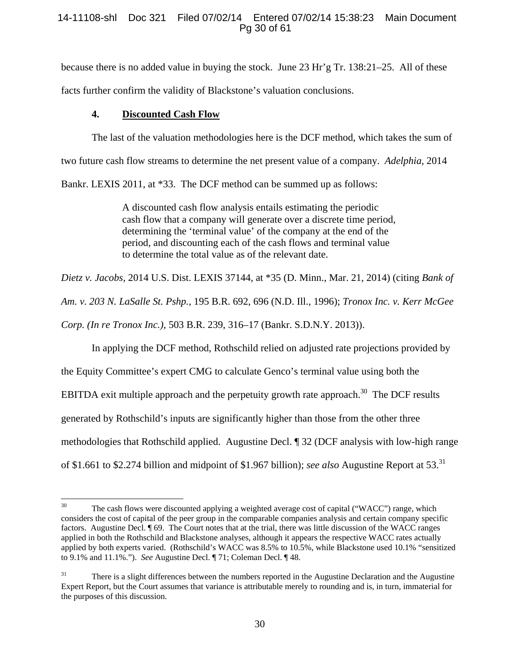# 14-11108-shl Doc 321 Filed 07/02/14 Entered 07/02/14 15:38:23 Main Document Pg 30 of 61

because there is no added value in buying the stock. June 23 Hr'g Tr. 138:21–25. All of these facts further confirm the validity of Blackstone's valuation conclusions.

# **4. Discounted Cash Flow**

The last of the valuation methodologies here is the DCF method, which takes the sum of two future cash flow streams to determine the net present value of a company. *Adelphia,* 2014 Bankr. LEXIS 2011, at \*33. The DCF method can be summed up as follows:

> A discounted cash flow analysis entails estimating the periodic cash flow that a company will generate over a discrete time period, determining the 'terminal value' of the company at the end of the period, and discounting each of the cash flows and terminal value to determine the total value as of the relevant date.

*Dietz v. Jacobs,* 2014 U.S. Dist. LEXIS 37144, at \*35 (D. Minn., Mar. 21, 2014) (citing *Bank of* 

*Am. v. 203 N. LaSalle St. Pshp.,* 195 B.R. 692, 696 (N.D. Ill., 1996); *Tronox Inc. v. Kerr McGee* 

*Corp. (In re Tronox Inc.)*, 503 B.R. 239, 316–17 (Bankr. S.D.N.Y. 2013)).

In applying the DCF method, Rothschild relied on adjusted rate projections provided by

the Equity Committee's expert CMG to calculate Genco's terminal value using both the

EBITDA exit multiple approach and the perpetuity growth rate approach.<sup>30</sup> The DCF results

generated by Rothschild's inputs are significantly higher than those from the other three

methodologies that Rothschild applied. Augustine Decl. ¶ 32 (DCF analysis with low-high range

of \$1.661 to \$2.274 billion and midpoint of \$1.967 billion); *see also* Augustine Report at 53.31

<sup>30</sup> The cash flows were discounted applying a weighted average cost of capital ("WACC") range, which considers the cost of capital of the peer group in the comparable companies analysis and certain company specific factors. Augustine Decl. ¶ 69. The Court notes that at the trial, there was little discussion of the WACC ranges applied in both the Rothschild and Blackstone analyses, although it appears the respective WACC rates actually applied by both experts varied. (Rothschild's WACC was 8.5% to 10.5%, while Blackstone used 10.1% "sensitized to 9.1% and 11.1%."). *See* Augustine Decl. ¶ 71; Coleman Decl. ¶ 48.

<sup>&</sup>lt;sup>31</sup> There is a slight differences between the numbers reported in the Augustine Declaration and the Augustine Expert Report, but the Court assumes that variance is attributable merely to rounding and is, in turn, immaterial for the purposes of this discussion.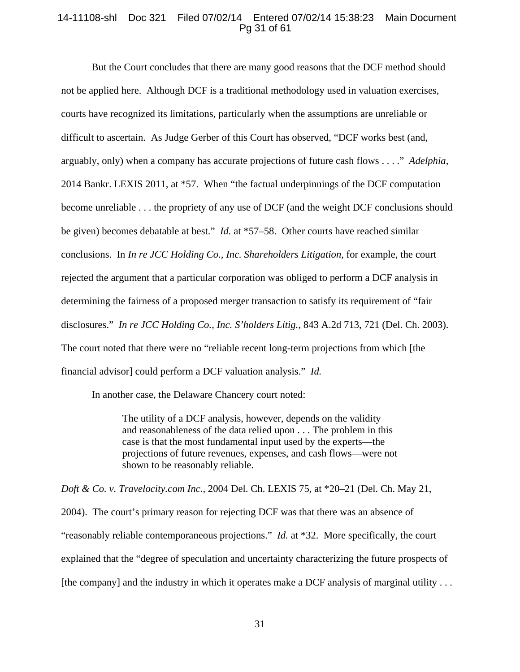# 14-11108-shl Doc 321 Filed 07/02/14 Entered 07/02/14 15:38:23 Main Document Pg 31 of 61

But the Court concludes that there are many good reasons that the DCF method should not be applied here. Although DCF is a traditional methodology used in valuation exercises, courts have recognized its limitations, particularly when the assumptions are unreliable or difficult to ascertain. As Judge Gerber of this Court has observed, "DCF works best (and, arguably, only) when a company has accurate projections of future cash flows . . . ." *Adelphia*, 2014 Bankr. LEXIS 2011, at \*57. When "the factual underpinnings of the DCF computation become unreliable . . . the propriety of any use of DCF (and the weight DCF conclusions should be given) becomes debatable at best." *Id.* at \*57–58. Other courts have reached similar conclusions. In *In re JCC Holding Co., Inc. Shareholders Litigation,* for example, the court rejected the argument that a particular corporation was obliged to perform a DCF analysis in determining the fairness of a proposed merger transaction to satisfy its requirement of "fair disclosures." *In re JCC Holding Co., Inc. S'holders Litig.*, 843 A.2d 713, 721 (Del. Ch. 2003). The court noted that there were no "reliable recent long-term projections from which [the financial advisor] could perform a DCF valuation analysis." *Id.* 

In another case, the Delaware Chancery court noted:

The utility of a DCF analysis, however, depends on the validity and reasonableness of the data relied upon . . . The problem in this case is that the most fundamental input used by the experts—the projections of future revenues, expenses, and cash flows—were not shown to be reasonably reliable.

*Doft & Co. v. Travelocity.com Inc.*, 2004 Del. Ch. LEXIS 75, at \*20–21 (Del. Ch. May 21, 2004). The court's primary reason for rejecting DCF was that there was an absence of "reasonably reliable contemporaneous projections." *Id.* at \*32. More specifically, the court explained that the "degree of speculation and uncertainty characterizing the future prospects of [the company] and the industry in which it operates make a DCF analysis of marginal utility . . .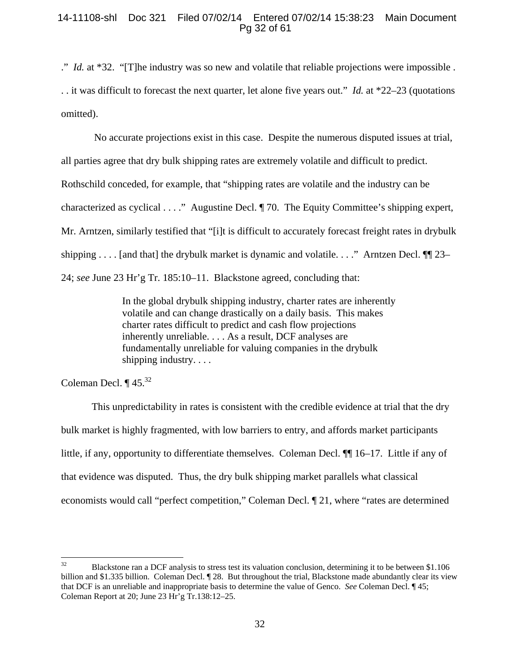# 14-11108-shl Doc 321 Filed 07/02/14 Entered 07/02/14 15:38:23 Main Document Pg 32 of 61

." *Id.* at \*32. "[T]he industry was so new and volatile that reliable projections were impossible . . . it was difficult to forecast the next quarter, let alone five years out." *Id.* at \*22–23 (quotations omitted).

 No accurate projections exist in this case. Despite the numerous disputed issues at trial, all parties agree that dry bulk shipping rates are extremely volatile and difficult to predict. Rothschild conceded, for example, that "shipping rates are volatile and the industry can be characterized as cyclical . . . ." Augustine Decl. ¶ 70. The Equity Committee's shipping expert, Mr. Arntzen, similarly testified that "[i]t is difficult to accurately forecast freight rates in drybulk shipping . . . . [and that] the drybulk market is dynamic and volatile. . . ." Arntzen Decl.  $\P$ [23– 24; *see* June 23 Hr'g Tr. 185:10–11. Blackstone agreed, concluding that:

> In the global drybulk shipping industry, charter rates are inherently volatile and can change drastically on a daily basis. This makes charter rates difficult to predict and cash flow projections inherently unreliable. . . . As a result, DCF analyses are fundamentally unreliable for valuing companies in the drybulk shipping industry. . . .

Coleman Decl.  $\P$  45.<sup>32</sup>

This unpredictability in rates is consistent with the credible evidence at trial that the dry bulk market is highly fragmented, with low barriers to entry, and affords market participants little, if any, opportunity to differentiate themselves. Coleman Decl. ¶¶ 16–17. Little if any of that evidence was disputed. Thus, the dry bulk shipping market parallels what classical economists would call "perfect competition," Coleman Decl. ¶ 21, where "rates are determined

 $32$ 32 Blackstone ran a DCF analysis to stress test its valuation conclusion, determining it to be between \$1.106 billion and \$1.335 billion. Coleman Decl. ¶ 28. But throughout the trial, Blackstone made abundantly clear its view that DCF is an unreliable and inappropriate basis to determine the value of Genco. *See* Coleman Decl. ¶ 45; Coleman Report at 20; June 23 Hr'g Tr.138:12–25.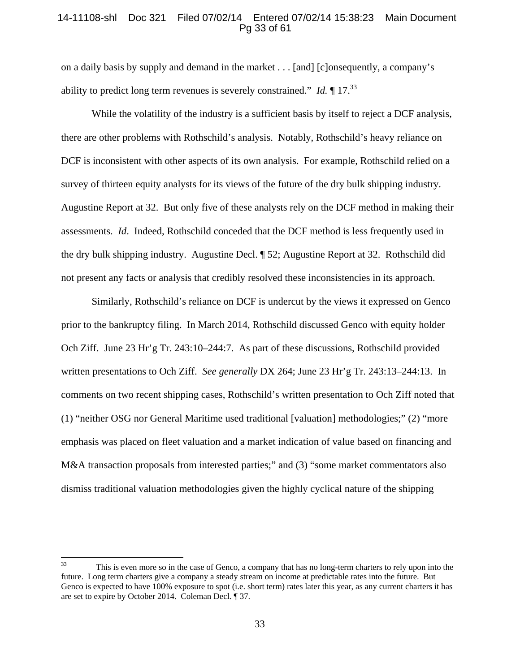# 14-11108-shl Doc 321 Filed 07/02/14 Entered 07/02/14 15:38:23 Main Document Pg 33 of 61

on a daily basis by supply and demand in the market . . . [and] [c]onsequently, a company's ability to predict long term revenues is severely constrained." *Id.* ¶ 17.33

While the volatility of the industry is a sufficient basis by itself to reject a DCF analysis, there are other problems with Rothschild's analysis. Notably, Rothschild's heavy reliance on DCF is inconsistent with other aspects of its own analysis. For example, Rothschild relied on a survey of thirteen equity analysts for its views of the future of the dry bulk shipping industry. Augustine Report at 32. But only five of these analysts rely on the DCF method in making their assessments. *Id*. Indeed, Rothschild conceded that the DCF method is less frequently used in the dry bulk shipping industry. Augustine Decl. ¶ 52; Augustine Report at 32. Rothschild did not present any facts or analysis that credibly resolved these inconsistencies in its approach.

Similarly, Rothschild's reliance on DCF is undercut by the views it expressed on Genco prior to the bankruptcy filing. In March 2014, Rothschild discussed Genco with equity holder Och Ziff. June 23 Hr'g Tr. 243:10–244:7. As part of these discussions, Rothschild provided written presentations to Och Ziff. *See generally* DX 264; June 23 Hr'g Tr. 243:13–244:13. In comments on two recent shipping cases, Rothschild's written presentation to Och Ziff noted that (1) "neither OSG nor General Maritime used traditional [valuation] methodologies;" (2) "more emphasis was placed on fleet valuation and a market indication of value based on financing and M&A transaction proposals from interested parties;" and (3) "some market commentators also dismiss traditional valuation methodologies given the highly cyclical nature of the shipping

<sup>33</sup> This is even more so in the case of Genco, a company that has no long-term charters to rely upon into the future. Long term charters give a company a steady stream on income at predictable rates into the future. But Genco is expected to have 100% exposure to spot (i.e. short term) rates later this year, as any current charters it has are set to expire by October 2014. Coleman Decl. ¶ 37.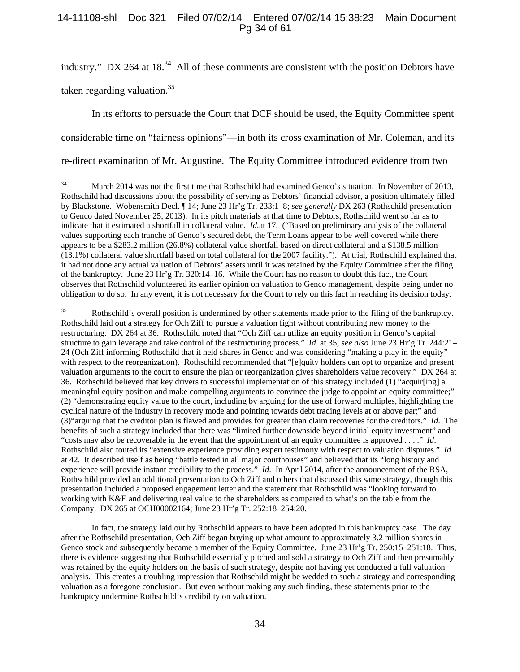# 14-11108-shl Doc 321 Filed 07/02/14 Entered 07/02/14 15:38:23 Main Document Pg 34 of 61

industry." DX 264 at  $18^{34}$  All of these comments are consistent with the position Debtors have taken regarding valuation.<sup>35</sup>

 In its efforts to persuade the Court that DCF should be used, the Equity Committee spent considerable time on "fairness opinions"—in both its cross examination of Mr. Coleman, and its re-direct examination of Mr. Augustine. The Equity Committee introduced evidence from two

<sup>35</sup> Rothschild's overall position is undermined by other statements made prior to the filing of the bankruptcy. Rothschild laid out a strategy for Och Ziff to pursue a valuation fight without contributing new money to the restructuring. DX 264 at 36. Rothschild noted that "Och Ziff can utilize an equity position in Genco's capital structure to gain leverage and take control of the restructuring process." *Id*. at 35; *see also* June 23 Hr'g Tr. 244:21– 24 (Och Ziff informing Rothschild that it held shares in Genco and was considering "making a play in the equity" with respect to the reorganization). Rothschild recommended that "[e]quity holders can opt to organize and present valuation arguments to the court to ensure the plan or reorganization gives shareholders value recovery." DX 264 at 36. Rothschild believed that key drivers to successful implementation of this strategy included (1) "acquir[ing] a meaningful equity position and make compelling arguments to convince the judge to appoint an equity committee;" (2) "demonstrating equity value to the court, including by arguing for the use of forward multiples, highlighting the cyclical nature of the industry in recovery mode and pointing towards debt trading levels at or above par;" and (3)"arguing that the creditor plan is flawed and provides for greater than claim recoveries for the creditors." *Id*. The benefits of such a strategy included that there was "limited further downside beyond initial equity investment" and "costs may also be recoverable in the event that the appointment of an equity committee is approved . . . ." *Id*. Rothschild also touted its "extensive experience providing expert testimony with respect to valuation disputes." *Id.* at 42. It described itself as being "battle tested in all major courthouses" and believed that its "long history and experience will provide instant credibility to the process." *Id*. In April 2014, after the announcement of the RSA, Rothschild provided an additional presentation to Och Ziff and others that discussed this same strategy, though this presentation included a proposed engagement letter and the statement that Rothschild was "looking forward to working with K&E and delivering real value to the shareholders as compared to what's on the table from the Company. DX 265 at OCH00002164; June 23 Hr'g Tr. 252:18–254:20.

In fact, the strategy laid out by Rothschild appears to have been adopted in this bankruptcy case. The day after the Rothschild presentation, Och Ziff began buying up what amount to approximately 3.2 million shares in Genco stock and subsequently became a member of the Equity Committee. June 23 Hr'g Tr. 250:15–251:18. Thus, there is evidence suggesting that Rothschild essentially pitched and sold a strategy to Och Ziff and then presumably was retained by the equity holders on the basis of such strategy, despite not having yet conducted a full valuation analysis. This creates a troubling impression that Rothschild might be wedded to such a strategy and corresponding valuation as a foregone conclusion. But even without making any such finding, these statements prior to the bankruptcy undermine Rothschild's credibility on valuation.

 $34$ 34 March 2014 was not the first time that Rothschild had examined Genco's situation. In November of 2013, Rothschild had discussions about the possibility of serving as Debtors' financial advisor, a position ultimately filled by Blackstone. Wobensmith Decl. ¶ 14; June 23 Hr'g Tr. 233:1–8; *see generally* DX 263 (Rothschild presentation to Genco dated November 25, 2013). In its pitch materials at that time to Debtors, Rothschild went so far as to indicate that it estimated a shortfall in collateral value. *Id.*at 17. ("Based on preliminary analysis of the collateral values supporting each tranche of Genco's secured debt, the Term Loans appear to be well covered while there appears to be a \$283.2 million (26.8%) collateral value shortfall based on direct collateral and a \$138.5 million (13.1%) collateral value shortfall based on total collateral for the 2007 facility."). At trial, Rothschild explained that it had not done any actual valuation of Debtors' assets until it was retained by the Equity Committee after the filing of the bankruptcy. June 23 Hr'g Tr. 320:14–16. While the Court has no reason to doubt this fact, the Court observes that Rothschild volunteered its earlier opinion on valuation to Genco management, despite being under no obligation to do so. In any event, it is not necessary for the Court to rely on this fact in reaching its decision today.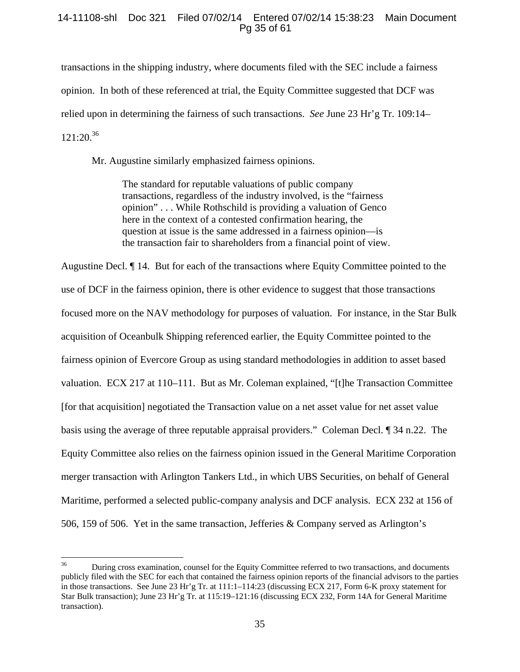# 14-11108-shl Doc 321 Filed 07/02/14 Entered 07/02/14 15:38:23 Main Document Pg 35 of 61

transactions in the shipping industry, where documents filed with the SEC include a fairness opinion. In both of these referenced at trial, the Equity Committee suggested that DCF was relied upon in determining the fairness of such transactions. *See* June 23 Hr'g Tr. 109:14–  $121:20.^{36}$ 

Mr. Augustine similarly emphasized fairness opinions.

The standard for reputable valuations of public company transactions, regardless of the industry involved, is the "fairness opinion" . . . While Rothschild is providing a valuation of Genco here in the context of a contested confirmation hearing, the question at issue is the same addressed in a fairness opinion—is the transaction fair to shareholders from a financial point of view.

Augustine Decl. ¶ 14. But for each of the transactions where Equity Committee pointed to the use of DCF in the fairness opinion, there is other evidence to suggest that those transactions focused more on the NAV methodology for purposes of valuation. For instance, in the Star Bulk acquisition of Oceanbulk Shipping referenced earlier, the Equity Committee pointed to the fairness opinion of Evercore Group as using standard methodologies in addition to asset based valuation. ECX 217 at 110–111. But as Mr. Coleman explained, "[t]he Transaction Committee [for that acquisition] negotiated the Transaction value on a net asset value for net asset value basis using the average of three reputable appraisal providers." Coleman Decl. ¶ 34 n.22. The Equity Committee also relies on the fairness opinion issued in the General Maritime Corporation merger transaction with Arlington Tankers Ltd., in which UBS Securities, on behalf of General Maritime, performed a selected public-company analysis and DCF analysis. ECX 232 at 156 of 506, 159 of 506. Yet in the same transaction, Jefferies & Company served as Arlington's

<sup>36</sup> 36 During cross examination, counsel for the Equity Committee referred to two transactions, and documents publicly filed with the SEC for each that contained the fairness opinion reports of the financial advisors to the parties in those transactions. See June 23 Hr'g Tr. at 111:1–114:23 (discussing ECX 217, Form 6-K proxy statement for Star Bulk transaction); June 23 Hr'g Tr. at 115:19–121:16 (discussing ECX 232, Form 14A for General Maritime transaction).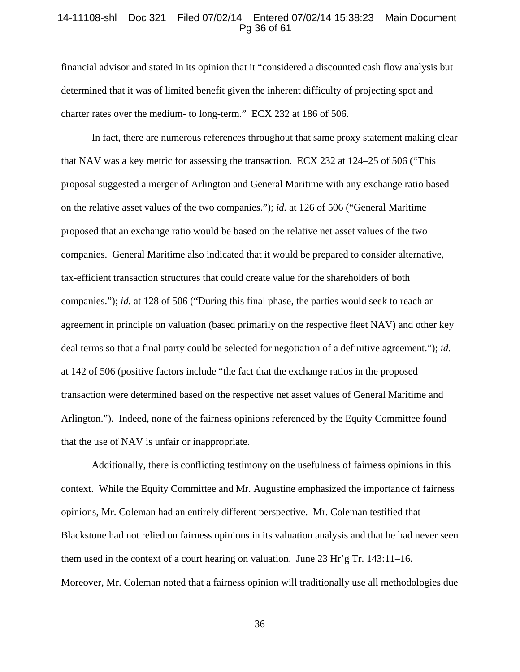## 14-11108-shl Doc 321 Filed 07/02/14 Entered 07/02/14 15:38:23 Main Document Pg 36 of 61

financial advisor and stated in its opinion that it "considered a discounted cash flow analysis but determined that it was of limited benefit given the inherent difficulty of projecting spot and charter rates over the medium- to long-term." ECX 232 at 186 of 506.

In fact, there are numerous references throughout that same proxy statement making clear that NAV was a key metric for assessing the transaction. ECX 232 at 124–25 of 506 ("This proposal suggested a merger of Arlington and General Maritime with any exchange ratio based on the relative asset values of the two companies."); *id.* at 126 of 506 ("General Maritime proposed that an exchange ratio would be based on the relative net asset values of the two companies. General Maritime also indicated that it would be prepared to consider alternative, tax-efficient transaction structures that could create value for the shareholders of both companies."); *id.* at 128 of 506 ("During this final phase, the parties would seek to reach an agreement in principle on valuation (based primarily on the respective fleet NAV) and other key deal terms so that a final party could be selected for negotiation of a definitive agreement."); *id.* at 142 of 506 (positive factors include "the fact that the exchange ratios in the proposed transaction were determined based on the respective net asset values of General Maritime and Arlington."). Indeed, none of the fairness opinions referenced by the Equity Committee found that the use of NAV is unfair or inappropriate.

Additionally, there is conflicting testimony on the usefulness of fairness opinions in this context. While the Equity Committee and Mr. Augustine emphasized the importance of fairness opinions, Mr. Coleman had an entirely different perspective. Mr. Coleman testified that Blackstone had not relied on fairness opinions in its valuation analysis and that he had never seen them used in the context of a court hearing on valuation. June 23 Hr'g Tr. 143:11–16. Moreover, Mr. Coleman noted that a fairness opinion will traditionally use all methodologies due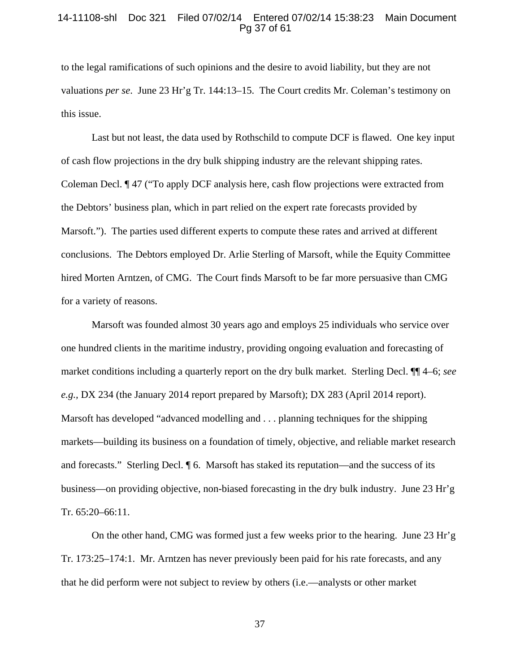#### 14-11108-shl Doc 321 Filed 07/02/14 Entered 07/02/14 15:38:23 Main Document Pg 37 of 61

to the legal ramifications of such opinions and the desire to avoid liability, but they are not valuations *per se*. June 23 Hr'g Tr. 144:13–15. The Court credits Mr. Coleman's testimony on this issue.

 Last but not least, the data used by Rothschild to compute DCF is flawed. One key input of cash flow projections in the dry bulk shipping industry are the relevant shipping rates. Coleman Decl. ¶ 47 ("To apply DCF analysis here, cash flow projections were extracted from the Debtors' business plan, which in part relied on the expert rate forecasts provided by Marsoft."). The parties used different experts to compute these rates and arrived at different conclusions. The Debtors employed Dr. Arlie Sterling of Marsoft, while the Equity Committee hired Morten Arntzen, of CMG. The Court finds Marsoft to be far more persuasive than CMG for a variety of reasons.

Marsoft was founded almost 30 years ago and employs 25 individuals who service over one hundred clients in the maritime industry, providing ongoing evaluation and forecasting of market conditions including a quarterly report on the dry bulk market. Sterling Decl. ¶¶ 4–6; *see e.g.,* DX 234 (the January 2014 report prepared by Marsoft); DX 283 (April 2014 report). Marsoft has developed "advanced modelling and . . . planning techniques for the shipping markets—building its business on a foundation of timely, objective, and reliable market research and forecasts." Sterling Decl. ¶ 6. Marsoft has staked its reputation—and the success of its business—on providing objective, non-biased forecasting in the dry bulk industry. June 23 Hr'g Tr. 65:20–66:11.

 On the other hand, CMG was formed just a few weeks prior to the hearing. June 23 Hr'g Tr. 173:25–174:1. Mr. Arntzen has never previously been paid for his rate forecasts, and any that he did perform were not subject to review by others (i.e.—analysts or other market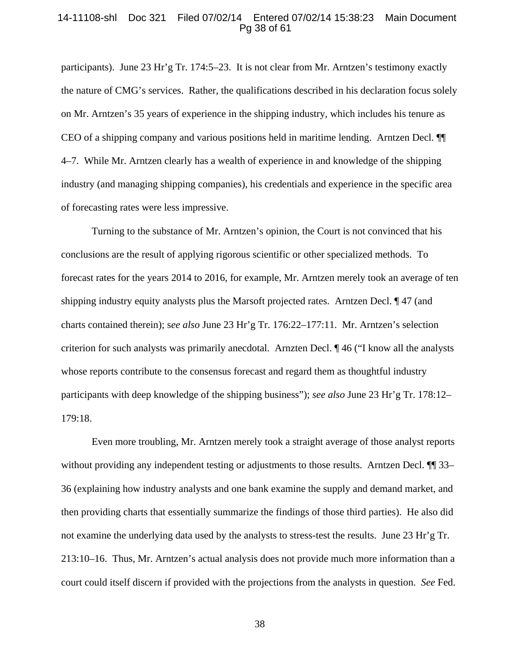#### 14-11108-shl Doc 321 Filed 07/02/14 Entered 07/02/14 15:38:23 Main Document Pg 38 of 61

participants). June 23 Hr'g Tr. 174:5–23. It is not clear from Mr. Arntzen's testimony exactly the nature of CMG's services. Rather, the qualifications described in his declaration focus solely on Mr. Arntzen's 35 years of experience in the shipping industry, which includes his tenure as CEO of a shipping company and various positions held in maritime lending. Arntzen Decl. ¶¶ 4–7. While Mr. Arntzen clearly has a wealth of experience in and knowledge of the shipping industry (and managing shipping companies), his credentials and experience in the specific area of forecasting rates were less impressive.

Turning to the substance of Mr. Arntzen's opinion, the Court is not convinced that his conclusions are the result of applying rigorous scientific or other specialized methods. To forecast rates for the years 2014 to 2016, for example, Mr. Arntzen merely took an average of ten shipping industry equity analysts plus the Marsoft projected rates. Arntzen Decl. ¶ 47 (and charts contained therein); s*ee also* June 23 Hr'g Tr. 176:22–177:11. Mr. Arntzen's selection criterion for such analysts was primarily anecdotal. Arnzten Decl. ¶ 46 ("I know all the analysts whose reports contribute to the consensus forecast and regard them as thoughtful industry participants with deep knowledge of the shipping business"); *see also* June 23 Hr'g Tr. 178:12– 179:18.

Even more troubling, Mr. Arntzen merely took a straight average of those analyst reports without providing any independent testing or adjustments to those results. Arntzen Decl. <sup>¶</sup> 33– 36 (explaining how industry analysts and one bank examine the supply and demand market, and then providing charts that essentially summarize the findings of those third parties). He also did not examine the underlying data used by the analysts to stress-test the results. June 23 Hr'g Tr. 213:10–16. Thus, Mr. Arntzen's actual analysis does not provide much more information than a court could itself discern if provided with the projections from the analysts in question. *See* Fed.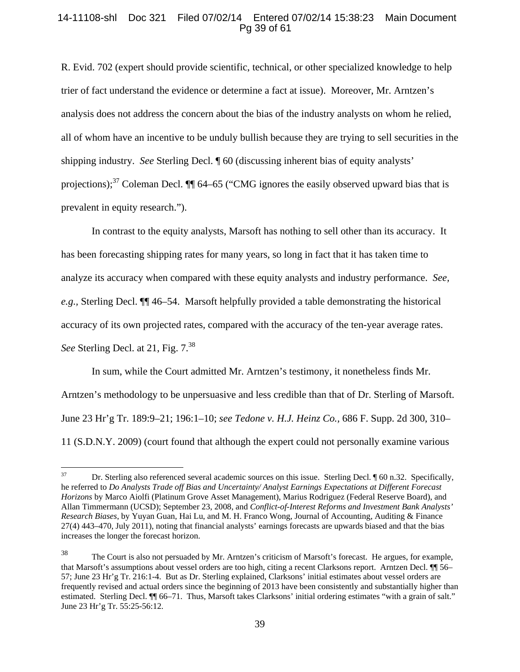# 14-11108-shl Doc 321 Filed 07/02/14 Entered 07/02/14 15:38:23 Main Document Pg 39 of 61

R. Evid. 702 (expert should provide scientific, technical, or other specialized knowledge to help trier of fact understand the evidence or determine a fact at issue). Moreover, Mr. Arntzen's analysis does not address the concern about the bias of the industry analysts on whom he relied, all of whom have an incentive to be unduly bullish because they are trying to sell securities in the shipping industry. *See* Sterling Decl. ¶ 60 (discussing inherent bias of equity analysts' projections);<sup>37</sup> Coleman Decl.  $\P\P$  64–65 ("CMG ignores the easily observed upward bias that is prevalent in equity research.").

In contrast to the equity analysts, Marsoft has nothing to sell other than its accuracy. It has been forecasting shipping rates for many years, so long in fact that it has taken time to analyze its accuracy when compared with these equity analysts and industry performance. *See, e.g.,* Sterling Decl. ¶¶ 46–54. Marsoft helpfully provided a table demonstrating the historical accuracy of its own projected rates, compared with the accuracy of the ten-year average rates. *See* Sterling Decl. at 21, Fig. 7.<sup>38</sup>

In sum, while the Court admitted Mr. Arntzen's testimony, it nonetheless finds Mr. Arntzen's methodology to be unpersuasive and less credible than that of Dr. Sterling of Marsoft. June 23 Hr'g Tr. 189:9–21; 196:1–10; *see Tedone v. H.J. Heinz Co.,* 686 F. Supp. 2d 300, 310– 11 (S.D.N.Y. 2009) (court found that although the expert could not personally examine various

<sup>37</sup> 37 Dr. Sterling also referenced several academic sources on this issue. Sterling Decl. ¶ 60 n.32. Specifically, he referred to *Do Analysts Trade off Bias and Uncertainty/ Analyst Earnings Expectations at Different Forecast Horizons* by Marco Aiolfi (Platinum Grove Asset Management), Marius Rodriguez (Federal Reserve Board), and Allan Timmermann (UCSD); September 23, 2008, and *Conflict-of-Interest Reforms and Investment Bank Analysts' Research Biases*, by Yuyan Guan, Hai Lu, and M. H. Franco Wong, Journal of Accounting, Auditing & Finance 27(4) 443–470, July 2011), noting that financial analysts' earnings forecasts are upwards biased and that the bias increases the longer the forecast horizon.

<sup>38</sup> The Court is also not persuaded by Mr. Arntzen's criticism of Marsoft's forecast. He argues, for example, that Marsoft's assumptions about vessel orders are too high, citing a recent Clarksons report. Arntzen Decl. ¶¶ 56– 57; June 23 Hr'g Tr. 216:1-4. But as Dr. Sterling explained, Clarksons' initial estimates about vessel orders are frequently revised and actual orders since the beginning of 2013 have been consistently and substantially higher than estimated. Sterling Decl. ¶¶ 66–71. Thus, Marsoft takes Clarksons' initial ordering estimates "with a grain of salt." June 23 Hr'g Tr. 55:25-56:12.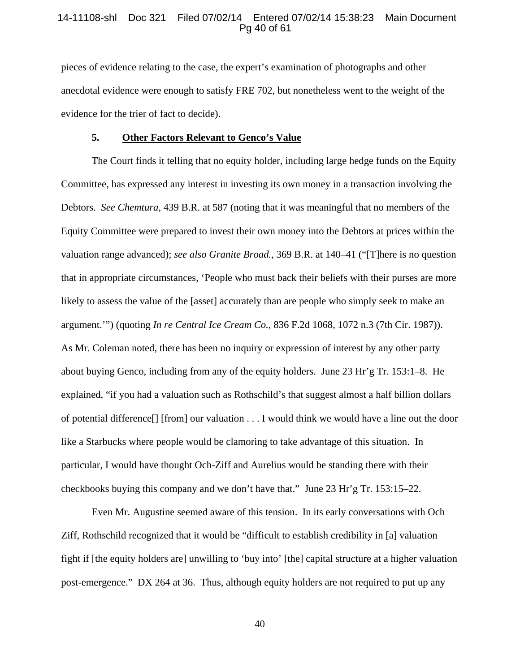## 14-11108-shl Doc 321 Filed 07/02/14 Entered 07/02/14 15:38:23 Main Document Pg 40 of 61

pieces of evidence relating to the case, the expert's examination of photographs and other anecdotal evidence were enough to satisfy FRE 702, but nonetheless went to the weight of the evidence for the trier of fact to decide).

#### **5. Other Factors Relevant to Genco's Value**

The Court finds it telling that no equity holder, including large hedge funds on the Equity Committee, has expressed any interest in investing its own money in a transaction involving the Debtors. *See Chemtura*, 439 B.R. at 587 (noting that it was meaningful that no members of the Equity Committee were prepared to invest their own money into the Debtors at prices within the valuation range advanced); *see also Granite Broad.*, 369 B.R. at 140–41 ("[T]here is no question that in appropriate circumstances, 'People who must back their beliefs with their purses are more likely to assess the value of the [asset] accurately than are people who simply seek to make an argument.'") (quoting *In re Central Ice Cream Co.*, 836 F.2d 1068, 1072 n.3 (7th Cir. 1987)). As Mr. Coleman noted, there has been no inquiry or expression of interest by any other party about buying Genco, including from any of the equity holders. June 23 Hr'g Tr. 153:1–8. He explained, "if you had a valuation such as Rothschild's that suggest almost a half billion dollars of potential difference[] [from] our valuation . . . I would think we would have a line out the door like a Starbucks where people would be clamoring to take advantage of this situation. In particular, I would have thought Och-Ziff and Aurelius would be standing there with their checkbooks buying this company and we don't have that." June 23 Hr'g Tr. 153:15–22.

Even Mr. Augustine seemed aware of this tension. In its early conversations with Och Ziff, Rothschild recognized that it would be "difficult to establish credibility in [a] valuation fight if [the equity holders are] unwilling to 'buy into' [the] capital structure at a higher valuation post-emergence." DX 264 at 36. Thus, although equity holders are not required to put up any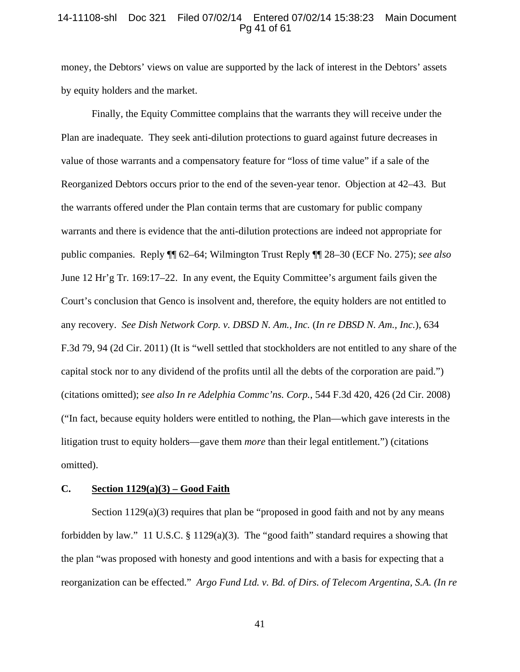## 14-11108-shl Doc 321 Filed 07/02/14 Entered 07/02/14 15:38:23 Main Document Pg 41 of 61

money, the Debtors' views on value are supported by the lack of interest in the Debtors' assets by equity holders and the market.

Finally, the Equity Committee complains that the warrants they will receive under the Plan are inadequate. They seek anti-dilution protections to guard against future decreases in value of those warrants and a compensatory feature for "loss of time value" if a sale of the Reorganized Debtors occurs prior to the end of the seven-year tenor. Objection at 42–43. But the warrants offered under the Plan contain terms that are customary for public company warrants and there is evidence that the anti-dilution protections are indeed not appropriate for public companies. Reply ¶¶ 62–64; Wilmington Trust Reply ¶¶ 28–30 (ECF No. 275); *see also*  June 12 Hr'g Tr. 169:17–22. In any event, the Equity Committee's argument fails given the Court's conclusion that Genco is insolvent and, therefore, the equity holders are not entitled to any recovery. *See Dish Network Corp. v. DBSD N. Am., Inc.* (*In re DBSD N. Am., Inc.*), 634 F.3d 79, 94 (2d Cir. 2011) (It is "well settled that stockholders are not entitled to any share of the capital stock nor to any dividend of the profits until all the debts of the corporation are paid.") (citations omitted); *see also In re Adelphia Commc'ns. Corp.*, 544 F.3d 420, 426 (2d Cir. 2008) ("In fact, because equity holders were entitled to nothing, the Plan—which gave interests in the litigation trust to equity holders—gave them *more* than their legal entitlement.") (citations omitted).

# **C. Section 1129(a)(3) – Good Faith**

Section 1129(a)(3) requires that plan be "proposed in good faith and not by any means forbidden by law." 11 U.S.C. § 1129(a)(3). The "good faith" standard requires a showing that the plan "was proposed with honesty and good intentions and with a basis for expecting that a reorganization can be effected." *Argo Fund Ltd. v. Bd. of Dirs. of Telecom Argentina, S.A. (In re*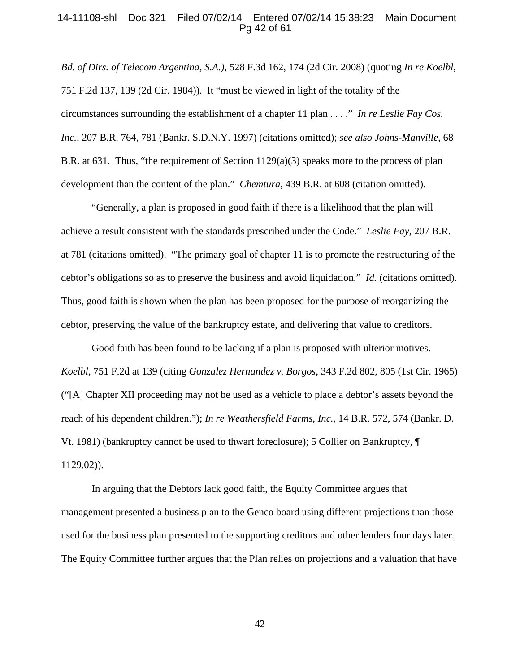### 14-11108-shl Doc 321 Filed 07/02/14 Entered 07/02/14 15:38:23 Main Document Pg 42 of 61

*Bd. of Dirs. of Telecom Argentina, S.A.)*, 528 F.3d 162, 174 (2d Cir. 2008) (quoting *In re Koelbl*, 751 F.2d 137, 139 (2d Cir. 1984)). It "must be viewed in light of the totality of the circumstances surrounding the establishment of a chapter 11 plan . . . ." *In re Leslie Fay Cos. Inc.*, 207 B.R. 764, 781 (Bankr. S.D.N.Y. 1997) (citations omitted); *see also Johns-Manville*, 68 B.R. at 631. Thus, "the requirement of Section  $1129(a)(3)$  speaks more to the process of plan development than the content of the plan." *Chemtura*, 439 B.R. at 608 (citation omitted).

"Generally, a plan is proposed in good faith if there is a likelihood that the plan will achieve a result consistent with the standards prescribed under the Code." *Leslie Fay*, 207 B.R. at 781 (citations omitted). "The primary goal of chapter 11 is to promote the restructuring of the debtor's obligations so as to preserve the business and avoid liquidation." *Id.* (citations omitted). Thus, good faith is shown when the plan has been proposed for the purpose of reorganizing the debtor, preserving the value of the bankruptcy estate, and delivering that value to creditors.

Good faith has been found to be lacking if a plan is proposed with ulterior motives. *Koelbl*, 751 F.2d at 139 (citing *Gonzalez Hernandez v. Borgos*, 343 F.2d 802, 805 (1st Cir. 1965) ("[A] Chapter XII proceeding may not be used as a vehicle to place a debtor's assets beyond the reach of his dependent children."); *In re Weathersfield Farms, Inc.*, 14 B.R. 572, 574 (Bankr. D. Vt. 1981) (bankruptcy cannot be used to thwart foreclosure); 5 Collier on Bankruptcy, ¶ 1129.02)).

In arguing that the Debtors lack good faith, the Equity Committee argues that management presented a business plan to the Genco board using different projections than those used for the business plan presented to the supporting creditors and other lenders four days later. The Equity Committee further argues that the Plan relies on projections and a valuation that have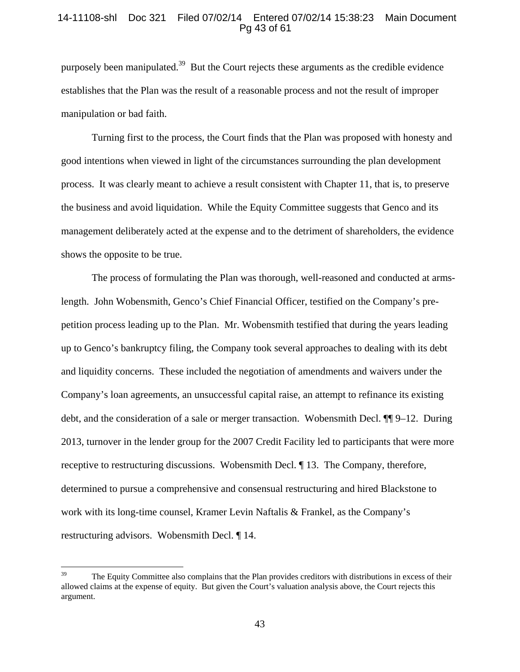# 14-11108-shl Doc 321 Filed 07/02/14 Entered 07/02/14 15:38:23 Main Document Pg 43 of 61

purposely been manipulated.39 But the Court rejects these arguments as the credible evidence establishes that the Plan was the result of a reasonable process and not the result of improper manipulation or bad faith.

 Turning first to the process, the Court finds that the Plan was proposed with honesty and good intentions when viewed in light of the circumstances surrounding the plan development process. It was clearly meant to achieve a result consistent with Chapter 11, that is, to preserve the business and avoid liquidation. While the Equity Committee suggests that Genco and its management deliberately acted at the expense and to the detriment of shareholders, the evidence shows the opposite to be true.

The process of formulating the Plan was thorough, well-reasoned and conducted at armslength. John Wobensmith, Genco's Chief Financial Officer, testified on the Company's prepetition process leading up to the Plan. Mr. Wobensmith testified that during the years leading up to Genco's bankruptcy filing, the Company took several approaches to dealing with its debt and liquidity concerns. These included the negotiation of amendments and waivers under the Company's loan agreements, an unsuccessful capital raise, an attempt to refinance its existing debt, and the consideration of a sale or merger transaction. Wobensmith Decl. ¶¶ 9–12. During 2013, turnover in the lender group for the 2007 Credit Facility led to participants that were more receptive to restructuring discussions. Wobensmith Decl. ¶ 13. The Company, therefore, determined to pursue a comprehensive and consensual restructuring and hired Blackstone to work with its long-time counsel, Kramer Levin Naftalis & Frankel, as the Company's restructuring advisors. Wobensmith Decl. ¶ 14.

<sup>39</sup> 39 The Equity Committee also complains that the Plan provides creditors with distributions in excess of their allowed claims at the expense of equity. But given the Court's valuation analysis above, the Court rejects this argument.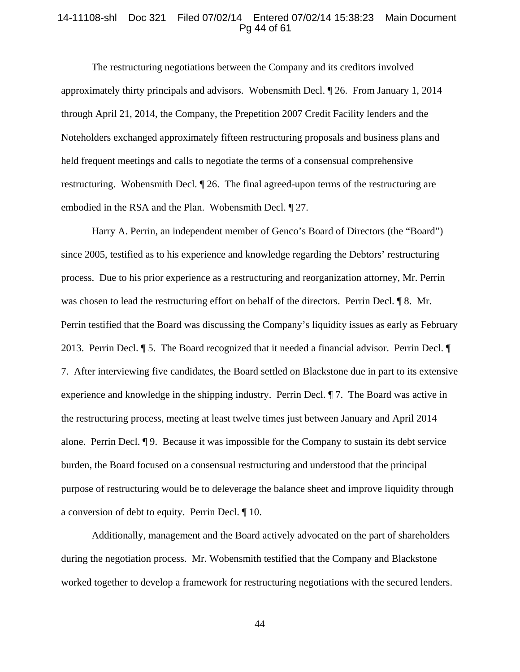## 14-11108-shl Doc 321 Filed 07/02/14 Entered 07/02/14 15:38:23 Main Document Pg 44 of 61

The restructuring negotiations between the Company and its creditors involved approximately thirty principals and advisors. Wobensmith Decl. ¶ 26. From January 1, 2014 through April 21, 2014, the Company, the Prepetition 2007 Credit Facility lenders and the Noteholders exchanged approximately fifteen restructuring proposals and business plans and held frequent meetings and calls to negotiate the terms of a consensual comprehensive restructuring. Wobensmith Decl. ¶ 26. The final agreed-upon terms of the restructuring are embodied in the RSA and the Plan. Wobensmith Decl. ¶ 27.

Harry A. Perrin, an independent member of Genco's Board of Directors (the "Board") since 2005, testified as to his experience and knowledge regarding the Debtors' restructuring process. Due to his prior experience as a restructuring and reorganization attorney, Mr. Perrin was chosen to lead the restructuring effort on behalf of the directors. Perrin Decl. ¶ 8. Mr. Perrin testified that the Board was discussing the Company's liquidity issues as early as February 2013. Perrin Decl. ¶ 5. The Board recognized that it needed a financial advisor. Perrin Decl. ¶ 7. After interviewing five candidates, the Board settled on Blackstone due in part to its extensive experience and knowledge in the shipping industry. Perrin Decl. ¶ 7. The Board was active in the restructuring process, meeting at least twelve times just between January and April 2014 alone. Perrin Decl. ¶ 9. Because it was impossible for the Company to sustain its debt service burden, the Board focused on a consensual restructuring and understood that the principal purpose of restructuring would be to deleverage the balance sheet and improve liquidity through a conversion of debt to equity. Perrin Decl. ¶ 10.

Additionally, management and the Board actively advocated on the part of shareholders during the negotiation process. Mr. Wobensmith testified that the Company and Blackstone worked together to develop a framework for restructuring negotiations with the secured lenders.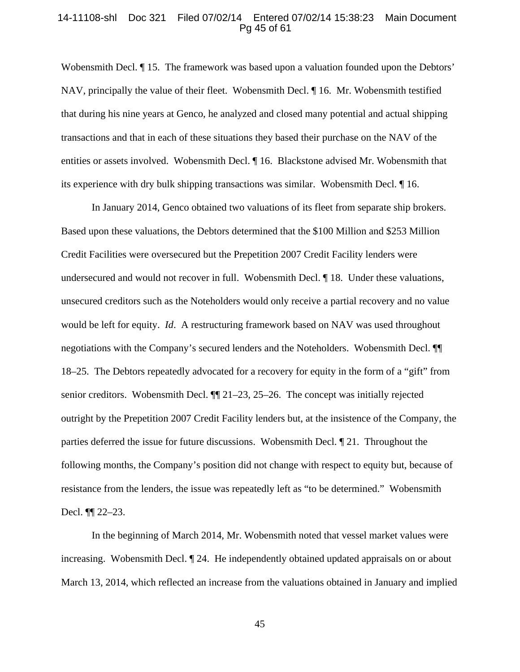#### 14-11108-shl Doc 321 Filed 07/02/14 Entered 07/02/14 15:38:23 Main Document Pg 45 of 61

Wobensmith Decl. ¶ 15. The framework was based upon a valuation founded upon the Debtors' NAV, principally the value of their fleet. Wobensmith Decl. ¶ 16. Mr. Wobensmith testified that during his nine years at Genco, he analyzed and closed many potential and actual shipping transactions and that in each of these situations they based their purchase on the NAV of the entities or assets involved. Wobensmith Decl. ¶ 16. Blackstone advised Mr. Wobensmith that its experience with dry bulk shipping transactions was similar. Wobensmith Decl. ¶ 16.

In January 2014, Genco obtained two valuations of its fleet from separate ship brokers. Based upon these valuations, the Debtors determined that the \$100 Million and \$253 Million Credit Facilities were oversecured but the Prepetition 2007 Credit Facility lenders were undersecured and would not recover in full. Wobensmith Decl. ¶ 18. Under these valuations, unsecured creditors such as the Noteholders would only receive a partial recovery and no value would be left for equity. *Id*. A restructuring framework based on NAV was used throughout negotiations with the Company's secured lenders and the Noteholders. Wobensmith Decl. ¶¶ 18–25. The Debtors repeatedly advocated for a recovery for equity in the form of a "gift" from senior creditors. Wobensmith Decl. ¶¶ 21–23, 25–26. The concept was initially rejected outright by the Prepetition 2007 Credit Facility lenders but, at the insistence of the Company, the parties deferred the issue for future discussions. Wobensmith Decl. ¶ 21. Throughout the following months, the Company's position did not change with respect to equity but, because of resistance from the lenders, the issue was repeatedly left as "to be determined." Wobensmith Decl. ¶¶ 22–23.

In the beginning of March 2014, Mr. Wobensmith noted that vessel market values were increasing. Wobensmith Decl. ¶ 24. He independently obtained updated appraisals on or about March 13, 2014, which reflected an increase from the valuations obtained in January and implied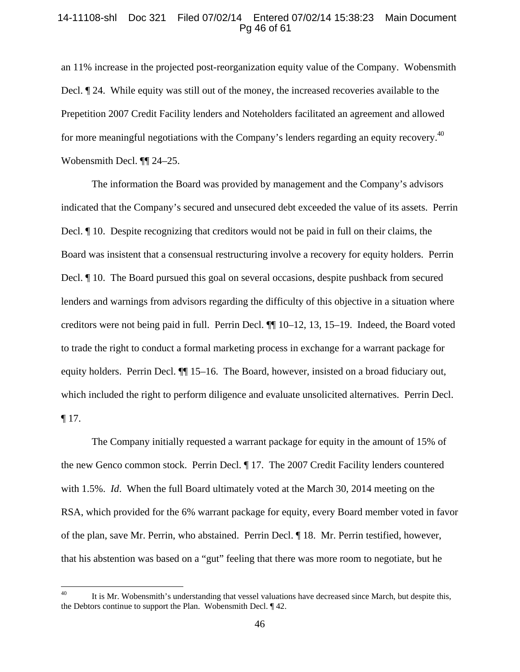## 14-11108-shl Doc 321 Filed 07/02/14 Entered 07/02/14 15:38:23 Main Document Pg 46 of 61

an 11% increase in the projected post-reorganization equity value of the Company. Wobensmith Decl. ¶ 24. While equity was still out of the money, the increased recoveries available to the Prepetition 2007 Credit Facility lenders and Noteholders facilitated an agreement and allowed for more meaningful negotiations with the Company's lenders regarding an equity recovery.<sup>40</sup> Wobensmith Decl. ¶¶ 24–25.

The information the Board was provided by management and the Company's advisors indicated that the Company's secured and unsecured debt exceeded the value of its assets. Perrin Decl. ¶ 10. Despite recognizing that creditors would not be paid in full on their claims, the Board was insistent that a consensual restructuring involve a recovery for equity holders. Perrin Decl. ¶ 10. The Board pursued this goal on several occasions, despite pushback from secured lenders and warnings from advisors regarding the difficulty of this objective in a situation where creditors were not being paid in full. Perrin Decl. ¶¶ 10–12, 13, 15–19. Indeed, the Board voted to trade the right to conduct a formal marketing process in exchange for a warrant package for equity holders. Perrin Decl. ¶¶ 15–16. The Board, however, insisted on a broad fiduciary out, which included the right to perform diligence and evaluate unsolicited alternatives. Perrin Decl. ¶ 17.

The Company initially requested a warrant package for equity in the amount of 15% of the new Genco common stock. Perrin Decl. ¶ 17. The 2007 Credit Facility lenders countered with 1.5%. *Id*. When the full Board ultimately voted at the March 30, 2014 meeting on the RSA, which provided for the 6% warrant package for equity, every Board member voted in favor of the plan, save Mr. Perrin, who abstained. Perrin Decl. ¶ 18. Mr. Perrin testified, however, that his abstention was based on a "gut" feeling that there was more room to negotiate, but he

 $40\,$ It is Mr. Wobensmith's understanding that vessel valuations have decreased since March, but despite this, the Debtors continue to support the Plan. Wobensmith Decl. ¶ 42.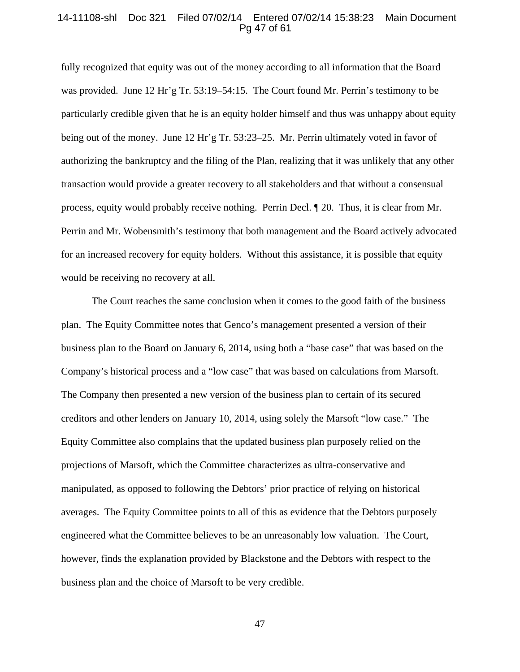#### 14-11108-shl Doc 321 Filed 07/02/14 Entered 07/02/14 15:38:23 Main Document Pg 47 of 61

fully recognized that equity was out of the money according to all information that the Board was provided. June 12 Hr'g Tr. 53:19–54:15. The Court found Mr. Perrin's testimony to be particularly credible given that he is an equity holder himself and thus was unhappy about equity being out of the money. June 12 Hr'g Tr. 53:23–25. Mr. Perrin ultimately voted in favor of authorizing the bankruptcy and the filing of the Plan, realizing that it was unlikely that any other transaction would provide a greater recovery to all stakeholders and that without a consensual process, equity would probably receive nothing. Perrin Decl. ¶ 20. Thus, it is clear from Mr. Perrin and Mr. Wobensmith's testimony that both management and the Board actively advocated for an increased recovery for equity holders. Without this assistance, it is possible that equity would be receiving no recovery at all.

The Court reaches the same conclusion when it comes to the good faith of the business plan. The Equity Committee notes that Genco's management presented a version of their business plan to the Board on January 6, 2014, using both a "base case" that was based on the Company's historical process and a "low case" that was based on calculations from Marsoft. The Company then presented a new version of the business plan to certain of its secured creditors and other lenders on January 10, 2014, using solely the Marsoft "low case." The Equity Committee also complains that the updated business plan purposely relied on the projections of Marsoft, which the Committee characterizes as ultra-conservative and manipulated, as opposed to following the Debtors' prior practice of relying on historical averages. The Equity Committee points to all of this as evidence that the Debtors purposely engineered what the Committee believes to be an unreasonably low valuation. The Court, however, finds the explanation provided by Blackstone and the Debtors with respect to the business plan and the choice of Marsoft to be very credible.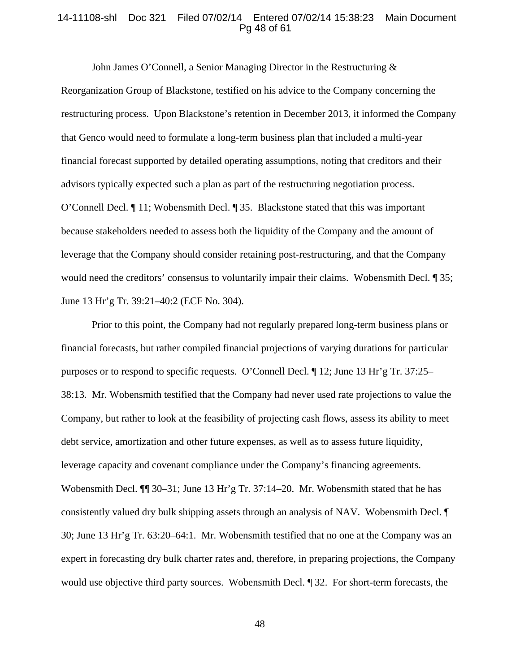#### 14-11108-shl Doc 321 Filed 07/02/14 Entered 07/02/14 15:38:23 Main Document Pg 48 of 61

John James O'Connell, a Senior Managing Director in the Restructuring &

Reorganization Group of Blackstone, testified on his advice to the Company concerning the restructuring process. Upon Blackstone's retention in December 2013, it informed the Company that Genco would need to formulate a long-term business plan that included a multi-year financial forecast supported by detailed operating assumptions, noting that creditors and their advisors typically expected such a plan as part of the restructuring negotiation process. O'Connell Decl. ¶ 11; Wobensmith Decl. ¶ 35. Blackstone stated that this was important because stakeholders needed to assess both the liquidity of the Company and the amount of leverage that the Company should consider retaining post-restructuring, and that the Company would need the creditors' consensus to voluntarily impair their claims. Wobensmith Decl. ¶ 35; June 13 Hr'g Tr. 39:21–40:2 (ECF No. 304).

Prior to this point, the Company had not regularly prepared long-term business plans or financial forecasts, but rather compiled financial projections of varying durations for particular purposes or to respond to specific requests. O'Connell Decl. ¶ 12; June 13 Hr'g Tr. 37:25– 38:13. Mr. Wobensmith testified that the Company had never used rate projections to value the Company, but rather to look at the feasibility of projecting cash flows, assess its ability to meet debt service, amortization and other future expenses, as well as to assess future liquidity, leverage capacity and covenant compliance under the Company's financing agreements. Wobensmith Decl.  $\P$  30–31; June 13 Hr'g Tr. 37:14–20. Mr. Wobensmith stated that he has consistently valued dry bulk shipping assets through an analysis of NAV. Wobensmith Decl. ¶ 30; June 13 Hr'g Tr. 63:20–64:1. Mr. Wobensmith testified that no one at the Company was an expert in forecasting dry bulk charter rates and, therefore, in preparing projections, the Company would use objective third party sources. Wobensmith Decl. ¶ 32. For short-term forecasts, the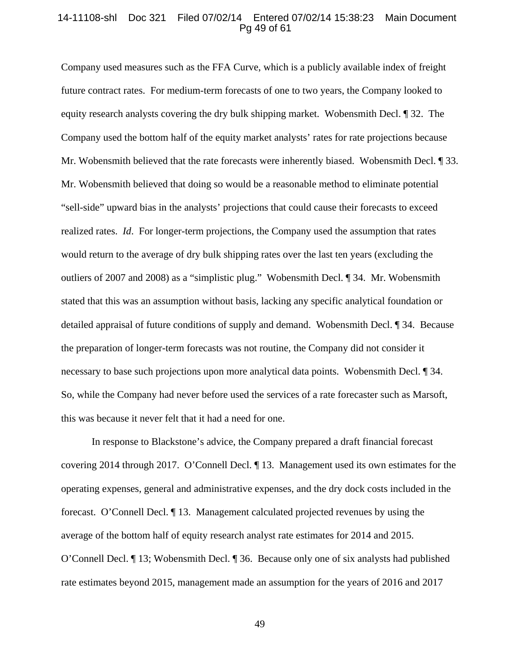#### 14-11108-shl Doc 321 Filed 07/02/14 Entered 07/02/14 15:38:23 Main Document Pg 49 of 61

Company used measures such as the FFA Curve, which is a publicly available index of freight future contract rates. For medium-term forecasts of one to two years, the Company looked to equity research analysts covering the dry bulk shipping market. Wobensmith Decl. ¶ 32. The Company used the bottom half of the equity market analysts' rates for rate projections because Mr. Wobensmith believed that the rate forecasts were inherently biased. Wobensmith Decl. ¶ 33. Mr. Wobensmith believed that doing so would be a reasonable method to eliminate potential "sell-side" upward bias in the analysts' projections that could cause their forecasts to exceed realized rates. *Id*. For longer-term projections, the Company used the assumption that rates would return to the average of dry bulk shipping rates over the last ten years (excluding the outliers of 2007 and 2008) as a "simplistic plug." Wobensmith Decl. ¶ 34. Mr. Wobensmith stated that this was an assumption without basis, lacking any specific analytical foundation or detailed appraisal of future conditions of supply and demand. Wobensmith Decl. ¶ 34. Because the preparation of longer-term forecasts was not routine, the Company did not consider it necessary to base such projections upon more analytical data points. Wobensmith Decl. ¶ 34. So, while the Company had never before used the services of a rate forecaster such as Marsoft, this was because it never felt that it had a need for one.

 In response to Blackstone's advice, the Company prepared a draft financial forecast covering 2014 through 2017. O'Connell Decl. ¶ 13. Management used its own estimates for the operating expenses, general and administrative expenses, and the dry dock costs included in the forecast. O'Connell Decl. ¶ 13. Management calculated projected revenues by using the average of the bottom half of equity research analyst rate estimates for 2014 and 2015. O'Connell Decl. ¶ 13; Wobensmith Decl. ¶ 36. Because only one of six analysts had published rate estimates beyond 2015, management made an assumption for the years of 2016 and 2017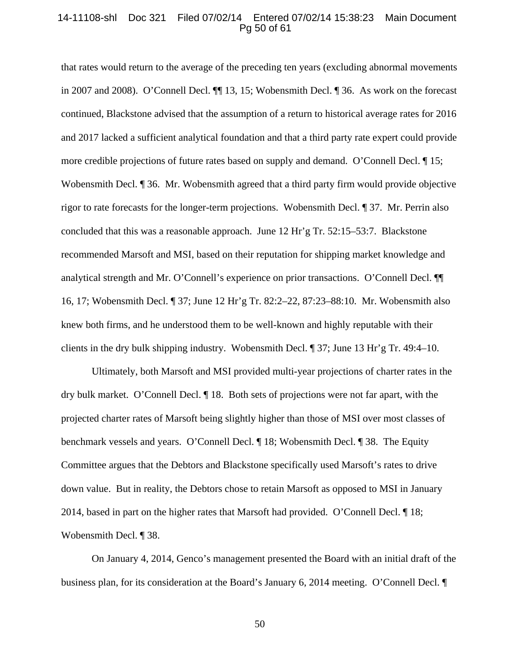#### 14-11108-shl Doc 321 Filed 07/02/14 Entered 07/02/14 15:38:23 Main Document Pg 50 of 61

that rates would return to the average of the preceding ten years (excluding abnormal movements in 2007 and 2008). O'Connell Decl. ¶¶ 13, 15; Wobensmith Decl. ¶ 36. As work on the forecast continued, Blackstone advised that the assumption of a return to historical average rates for 2016 and 2017 lacked a sufficient analytical foundation and that a third party rate expert could provide more credible projections of future rates based on supply and demand. O'Connell Decl. ¶ 15; Wobensmith Decl. **[41]** 36. Mr. Wobensmith agreed that a third party firm would provide objective rigor to rate forecasts for the longer-term projections. Wobensmith Decl. ¶ 37. Mr. Perrin also concluded that this was a reasonable approach. June 12 Hr'g Tr. 52:15–53:7. Blackstone recommended Marsoft and MSI, based on their reputation for shipping market knowledge and analytical strength and Mr. O'Connell's experience on prior transactions. O'Connell Decl. ¶¶ 16, 17; Wobensmith Decl. ¶ 37; June 12 Hr'g Tr. 82:2–22, 87:23–88:10. Mr. Wobensmith also knew both firms, and he understood them to be well-known and highly reputable with their clients in the dry bulk shipping industry. Wobensmith Decl. ¶ 37; June 13 Hr'g Tr. 49:4–10.

Ultimately, both Marsoft and MSI provided multi-year projections of charter rates in the dry bulk market. O'Connell Decl. ¶ 18. Both sets of projections were not far apart, with the projected charter rates of Marsoft being slightly higher than those of MSI over most classes of benchmark vessels and years. O'Connell Decl. ¶ 18; Wobensmith Decl. ¶ 38. The Equity Committee argues that the Debtors and Blackstone specifically used Marsoft's rates to drive down value. But in reality, the Debtors chose to retain Marsoft as opposed to MSI in January 2014, based in part on the higher rates that Marsoft had provided. O'Connell Decl. ¶ 18; Wobensmith Decl. ¶ 38.

On January 4, 2014, Genco's management presented the Board with an initial draft of the business plan, for its consideration at the Board's January 6, 2014 meeting. O'Connell Decl. ¶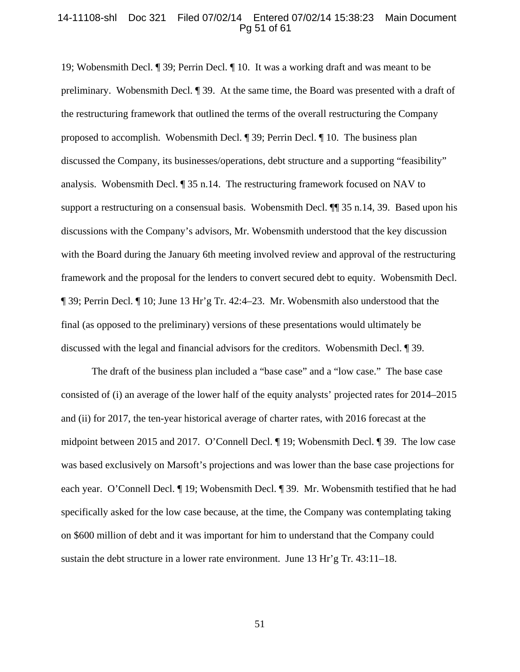#### 14-11108-shl Doc 321 Filed 07/02/14 Entered 07/02/14 15:38:23 Main Document Pg 51 of 61

19; Wobensmith Decl. ¶ 39; Perrin Decl. ¶ 10. It was a working draft and was meant to be preliminary. Wobensmith Decl. ¶ 39. At the same time, the Board was presented with a draft of the restructuring framework that outlined the terms of the overall restructuring the Company proposed to accomplish. Wobensmith Decl. ¶ 39; Perrin Decl. ¶ 10. The business plan discussed the Company, its businesses/operations, debt structure and a supporting "feasibility" analysis. Wobensmith Decl. ¶ 35 n.14. The restructuring framework focused on NAV to support a restructuring on a consensual basis. Wobensmith Decl.  $\P$  35 n.14, 39. Based upon his discussions with the Company's advisors, Mr. Wobensmith understood that the key discussion with the Board during the January 6th meeting involved review and approval of the restructuring framework and the proposal for the lenders to convert secured debt to equity. Wobensmith Decl. ¶ 39; Perrin Decl. ¶ 10; June 13 Hr'g Tr. 42:4–23. Mr. Wobensmith also understood that the final (as opposed to the preliminary) versions of these presentations would ultimately be discussed with the legal and financial advisors for the creditors. Wobensmith Decl. ¶ 39.

The draft of the business plan included a "base case" and a "low case." The base case consisted of (i) an average of the lower half of the equity analysts' projected rates for 2014–2015 and (ii) for 2017, the ten-year historical average of charter rates, with 2016 forecast at the midpoint between 2015 and 2017. O'Connell Decl. ¶ 19; Wobensmith Decl. ¶ 39. The low case was based exclusively on Marsoft's projections and was lower than the base case projections for each year. O'Connell Decl. ¶ 19; Wobensmith Decl. ¶ 39. Mr. Wobensmith testified that he had specifically asked for the low case because, at the time, the Company was contemplating taking on \$600 million of debt and it was important for him to understand that the Company could sustain the debt structure in a lower rate environment. June 13 Hr'g Tr. 43:11–18.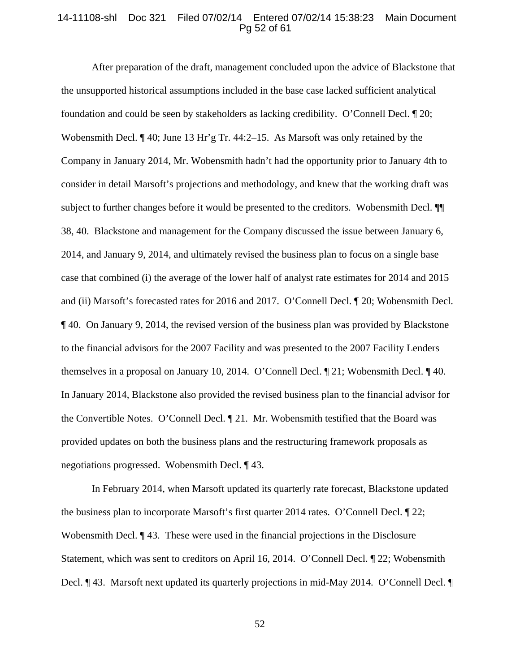### 14-11108-shl Doc 321 Filed 07/02/14 Entered 07/02/14 15:38:23 Main Document Pg 52 of 61

After preparation of the draft, management concluded upon the advice of Blackstone that the unsupported historical assumptions included in the base case lacked sufficient analytical foundation and could be seen by stakeholders as lacking credibility. O'Connell Decl. ¶ 20; Wobensmith Decl. ¶ 40; June 13 Hr'g Tr. 44:2–15. As Marsoft was only retained by the Company in January 2014, Mr. Wobensmith hadn't had the opportunity prior to January 4th to consider in detail Marsoft's projections and methodology, and knew that the working draft was subject to further changes before it would be presented to the creditors. Wobensmith Decl. ¶¶ 38, 40. Blackstone and management for the Company discussed the issue between January 6, 2014, and January 9, 2014, and ultimately revised the business plan to focus on a single base case that combined (i) the average of the lower half of analyst rate estimates for 2014 and 2015 and (ii) Marsoft's forecasted rates for 2016 and 2017. O'Connell Decl. ¶ 20; Wobensmith Decl. ¶ 40. On January 9, 2014, the revised version of the business plan was provided by Blackstone to the financial advisors for the 2007 Facility and was presented to the 2007 Facility Lenders themselves in a proposal on January 10, 2014. O'Connell Decl. ¶ 21; Wobensmith Decl. ¶ 40. In January 2014, Blackstone also provided the revised business plan to the financial advisor for the Convertible Notes. O'Connell Decl. ¶ 21. Mr. Wobensmith testified that the Board was provided updates on both the business plans and the restructuring framework proposals as negotiations progressed. Wobensmith Decl. ¶ 43.

In February 2014, when Marsoft updated its quarterly rate forecast, Blackstone updated the business plan to incorporate Marsoft's first quarter 2014 rates. O'Connell Decl. ¶ 22; Wobensmith Decl.  $\P$  43. These were used in the financial projections in the Disclosure Statement, which was sent to creditors on April 16, 2014. O'Connell Decl. ¶ 22; Wobensmith Decl. ¶ 43. Marsoft next updated its quarterly projections in mid-May 2014. O'Connell Decl. ¶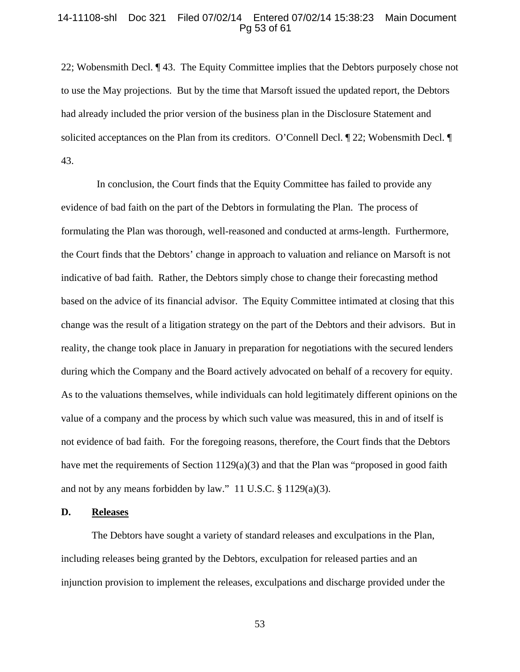## 14-11108-shl Doc 321 Filed 07/02/14 Entered 07/02/14 15:38:23 Main Document Pg 53 of 61

22; Wobensmith Decl. ¶ 43. The Equity Committee implies that the Debtors purposely chose not to use the May projections. But by the time that Marsoft issued the updated report, the Debtors had already included the prior version of the business plan in the Disclosure Statement and solicited acceptances on the Plan from its creditors. O'Connell Decl.  $\P$  22; Wobensmith Decl.  $\P$ 43.

 In conclusion, the Court finds that the Equity Committee has failed to provide any evidence of bad faith on the part of the Debtors in formulating the Plan. The process of formulating the Plan was thorough, well-reasoned and conducted at arms-length. Furthermore, the Court finds that the Debtors' change in approach to valuation and reliance on Marsoft is not indicative of bad faith. Rather, the Debtors simply chose to change their forecasting method based on the advice of its financial advisor. The Equity Committee intimated at closing that this change was the result of a litigation strategy on the part of the Debtors and their advisors. But in reality, the change took place in January in preparation for negotiations with the secured lenders during which the Company and the Board actively advocated on behalf of a recovery for equity. As to the valuations themselves, while individuals can hold legitimately different opinions on the value of a company and the process by which such value was measured, this in and of itself is not evidence of bad faith. For the foregoing reasons, therefore, the Court finds that the Debtors have met the requirements of Section 1129(a)(3) and that the Plan was "proposed in good faith and not by any means forbidden by law." 11 U.S.C. § 1129(a)(3).

## **D. Releases**

 The Debtors have sought a variety of standard releases and exculpations in the Plan, including releases being granted by the Debtors, exculpation for released parties and an injunction provision to implement the releases, exculpations and discharge provided under the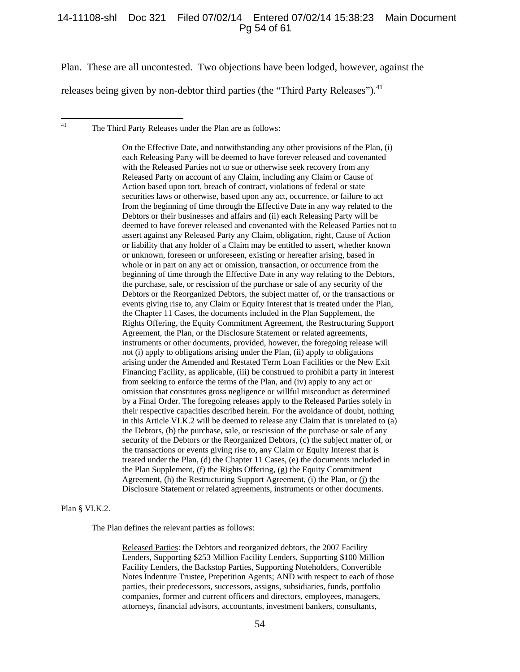#### 14-11108-shl Doc 321 Filed 07/02/14 Entered 07/02/14 15:38:23 Main Document Pg 54 of 61

Plan. These are all uncontested. Two objections have been lodged, however, against the

releases being given by non-debtor third parties (the "Third Party Releases").<sup>41</sup>

The Third Party Releases under the Plan are as follows:

On the Effective Date, and notwithstanding any other provisions of the Plan, (i) each Releasing Party will be deemed to have forever released and covenanted with the Released Parties not to sue or otherwise seek recovery from any Released Party on account of any Claim, including any Claim or Cause of Action based upon tort, breach of contract, violations of federal or state securities laws or otherwise, based upon any act, occurrence, or failure to act from the beginning of time through the Effective Date in any way related to the Debtors or their businesses and affairs and (ii) each Releasing Party will be deemed to have forever released and covenanted with the Released Parties not to assert against any Released Party any Claim, obligation, right, Cause of Action or liability that any holder of a Claim may be entitled to assert, whether known or unknown, foreseen or unforeseen, existing or hereafter arising, based in whole or in part on any act or omission, transaction, or occurrence from the beginning of time through the Effective Date in any way relating to the Debtors, the purchase, sale, or rescission of the purchase or sale of any security of the Debtors or the Reorganized Debtors, the subject matter of, or the transactions or events giving rise to, any Claim or Equity Interest that is treated under the Plan, the Chapter 11 Cases, the documents included in the Plan Supplement, the Rights Offering, the Equity Commitment Agreement, the Restructuring Support Agreement, the Plan, or the Disclosure Statement or related agreements, instruments or other documents, provided, however, the foregoing release will not (i) apply to obligations arising under the Plan, (ii) apply to obligations arising under the Amended and Restated Term Loan Facilities or the New Exit Financing Facility, as applicable, (iii) be construed to prohibit a party in interest from seeking to enforce the terms of the Plan, and (iv) apply to any act or omission that constitutes gross negligence or willful misconduct as determined by a Final Order. The foregoing releases apply to the Released Parties solely in their respective capacities described herein. For the avoidance of doubt, nothing in this Article VI.K.2 will be deemed to release any Claim that is unrelated to (a) the Debtors, (b) the purchase, sale, or rescission of the purchase or sale of any security of the Debtors or the Reorganized Debtors, (c) the subject matter of, or the transactions or events giving rise to, any Claim or Equity Interest that is treated under the Plan, (d) the Chapter 11 Cases, (e) the documents included in the Plan Supplement, (f) the Rights Offering, (g) the Equity Commitment Agreement, (h) the Restructuring Support Agreement, (i) the Plan, or (j) the Disclosure Statement or related agreements, instruments or other documents.

#### Plan § VI.K.2.

 $41$ 

The Plan defines the relevant parties as follows:

Released Parties: the Debtors and reorganized debtors, the 2007 Facility Lenders, Supporting \$253 Million Facility Lenders, Supporting \$100 Million Facility Lenders, the Backstop Parties, Supporting Noteholders, Convertible Notes Indenture Trustee, Prepetition Agents; AND with respect to each of those parties, their predecessors, successors, assigns, subsidiaries, funds, portfolio companies, former and current officers and directors, employees, managers, attorneys, financial advisors, accountants, investment bankers, consultants,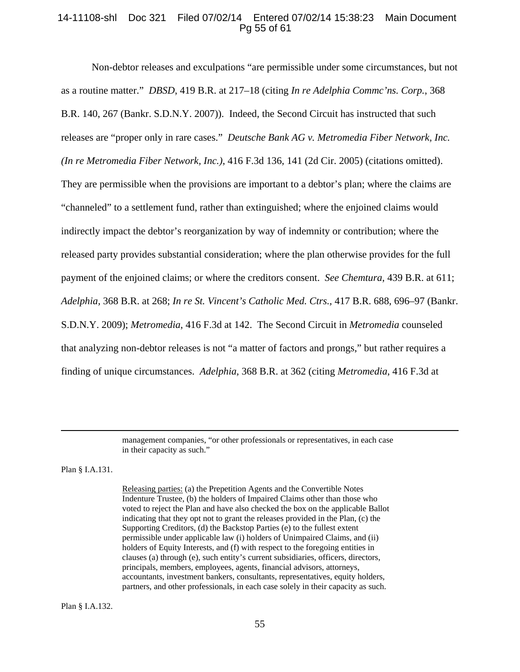# 14-11108-shl Doc 321 Filed 07/02/14 Entered 07/02/14 15:38:23 Main Document Pg 55 of 61

 Non-debtor releases and exculpations "are permissible under some circumstances, but not as a routine matter." *DBSD*, 419 B.R. at 217–18 (citing *In re Adelphia Commc'ns. Corp.*, 368 B.R. 140, 267 (Bankr. S.D.N.Y. 2007)). Indeed, the Second Circuit has instructed that such releases are "proper only in rare cases." *Deutsche Bank AG v. Metromedia Fiber Network, Inc. (In re Metromedia Fiber Network, Inc.)*, 416 F.3d 136, 141 (2d Cir. 2005) (citations omitted). They are permissible when the provisions are important to a debtor's plan; where the claims are "channeled" to a settlement fund, rather than extinguished; where the enjoined claims would indirectly impact the debtor's reorganization by way of indemnity or contribution; where the released party provides substantial consideration; where the plan otherwise provides for the full payment of the enjoined claims; or where the creditors consent. *See Chemtura*, 439 B.R. at 611; *Adelphia,* 368 B.R. at 268; *In re St. Vincent's Catholic Med. Ctrs.,* 417 B.R. 688, 696–97 (Bankr. S.D.N.Y. 2009); *Metromedia*, 416 F.3d at 142. The Second Circuit in *Metromedia* counseled that analyzing non-debtor releases is not "a matter of factors and prongs," but rather requires a finding of unique circumstances. *Adelphia,* 368 B.R. at 362 (citing *Metromedia*, 416 F.3d at

> management companies, "or other professionals or representatives, in each case in their capacity as such."

Plan § I.A.131.

Releasing parties: (a) the Prepetition Agents and the Convertible Notes Indenture Trustee, (b) the holders of Impaired Claims other than those who voted to reject the Plan and have also checked the box on the applicable Ballot indicating that they opt not to grant the releases provided in the Plan, (c) the Supporting Creditors, (d) the Backstop Parties (e) to the fullest extent permissible under applicable law (i) holders of Unimpaired Claims, and (ii) holders of Equity Interests, and (f) with respect to the foregoing entities in clauses (a) through (e), such entity's current subsidiaries, officers, directors, principals, members, employees, agents, financial advisors, attorneys, accountants, investment bankers, consultants, representatives, equity holders, partners, and other professionals, in each case solely in their capacity as such.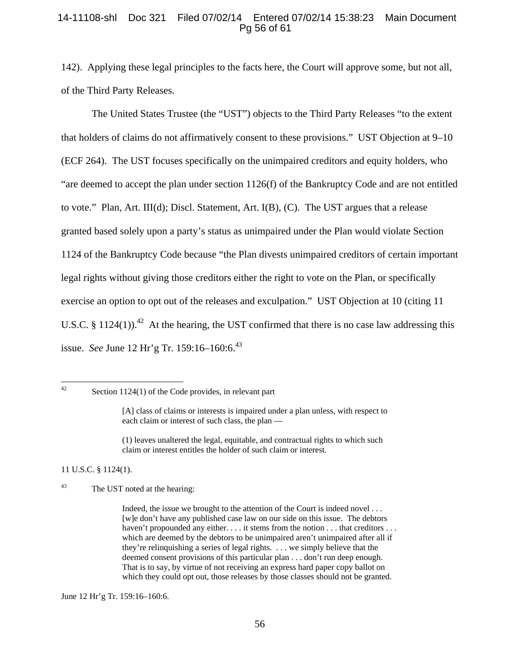# 14-11108-shl Doc 321 Filed 07/02/14 Entered 07/02/14 15:38:23 Main Document Pg 56 of 61

142). Applying these legal principles to the facts here, the Court will approve some, but not all, of the Third Party Releases.

 The United States Trustee (the "UST") objects to the Third Party Releases "to the extent that holders of claims do not affirmatively consent to these provisions." UST Objection at 9–10 (ECF 264). The UST focuses specifically on the unimpaired creditors and equity holders, who "are deemed to accept the plan under section 1126(f) of the Bankruptcy Code and are not entitled to vote." Plan, Art. III(d); Discl. Statement, Art. I(B), (C). The UST argues that a release granted based solely upon a party's status as unimpaired under the Plan would violate Section 1124 of the Bankruptcy Code because "the Plan divests unimpaired creditors of certain important legal rights without giving those creditors either the right to vote on the Plan, or specifically exercise an option to opt out of the releases and exculpation." UST Objection at 10 (citing 11 U.S.C. § 1124(1)).<sup>42</sup> At the hearing, the UST confirmed that there is no case law addressing this issue. *See* June 12 Hr'g Tr. 159:16–160:6.<sup>43</sup>

 $42$ 

(1) leaves unaltered the legal, equitable, and contractual rights to which such claim or interest entitles the holder of such claim or interest.

11 U.S.C. § 1124(1).

43 The UST noted at the hearing:

June 12 Hr'g Tr. 159:16–160:6.

Section  $1124(1)$  of the Code provides, in relevant part

<sup>[</sup>A] class of claims or interests is impaired under a plan unless, with respect to each claim or interest of such class, the plan —

Indeed, the issue we brought to the attention of the Court is indeed novel . . . [w]e don't have any published case law on our side on this issue. The debtors haven't propounded any either. . . . it stems from the notion . . . that creditors . . . which are deemed by the debtors to be unimpaired aren't unimpaired after all if they're relinquishing a series of legal rights. . . . we simply believe that the deemed consent provisions of this particular plan . . . don't run deep enough. That is to say, by virtue of not receiving an express hard paper copy ballot on which they could opt out, those releases by those classes should not be granted.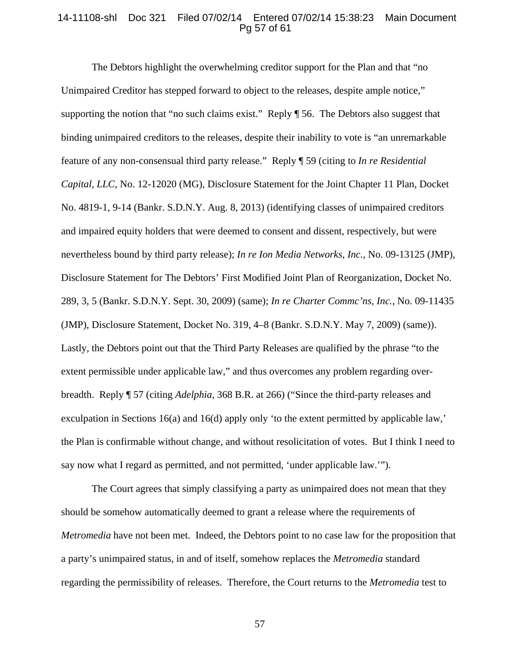#### 14-11108-shl Doc 321 Filed 07/02/14 Entered 07/02/14 15:38:23 Main Document Pg 57 of 61

The Debtors highlight the overwhelming creditor support for the Plan and that "no Unimpaired Creditor has stepped forward to object to the releases, despite ample notice," supporting the notion that "no such claims exist." Reply ¶ 56. The Debtors also suggest that binding unimpaired creditors to the releases, despite their inability to vote is "an unremarkable feature of any non-consensual third party release." Reply ¶ 59 (citing to *In re Residential Capital, LLC*, No. 12-12020 (MG), Disclosure Statement for the Joint Chapter 11 Plan, Docket No. 4819-1, 9-14 (Bankr. S.D.N.Y. Aug. 8, 2013) (identifying classes of unimpaired creditors and impaired equity holders that were deemed to consent and dissent, respectively, but were nevertheless bound by third party release); *In re Ion Media Networks, Inc.*, No. 09-13125 (JMP), Disclosure Statement for The Debtors' First Modified Joint Plan of Reorganization, Docket No. 289, 3, 5 (Bankr. S.D.N.Y. Sept. 30, 2009) (same); *In re Charter Commc'ns, Inc.*, No. 09-11435 (JMP), Disclosure Statement, Docket No. 319, 4–8 (Bankr. S.D.N.Y. May 7, 2009) (same)). Lastly, the Debtors point out that the Third Party Releases are qualified by the phrase "to the extent permissible under applicable law," and thus overcomes any problem regarding overbreadth. Reply ¶ 57 (citing *Adelphia*, 368 B.R. at 266) ("Since the third-party releases and exculpation in Sections 16(a) and 16(d) apply only 'to the extent permitted by applicable law,' the Plan is confirmable without change, and without resolicitation of votes. But I think I need to say now what I regard as permitted, and not permitted, 'under applicable law.'").

The Court agrees that simply classifying a party as unimpaired does not mean that they should be somehow automatically deemed to grant a release where the requirements of *Metromedia* have not been met. Indeed, the Debtors point to no case law for the proposition that a party's unimpaired status, in and of itself, somehow replaces the *Metromedia* standard regarding the permissibility of releases. Therefore, the Court returns to the *Metromedia* test to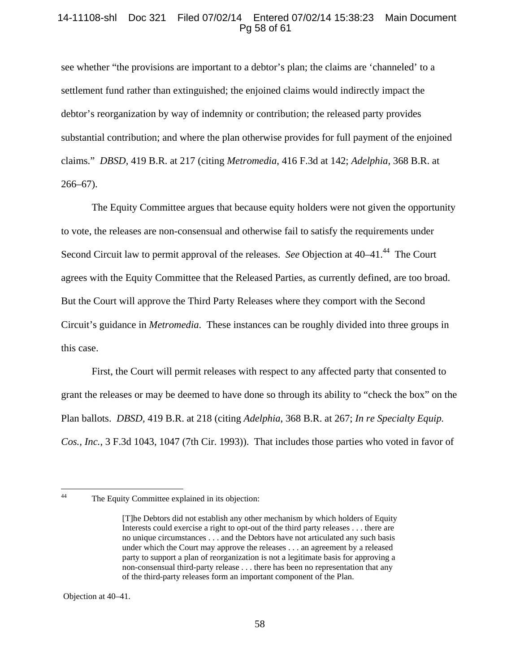# 14-11108-shl Doc 321 Filed 07/02/14 Entered 07/02/14 15:38:23 Main Document Pg 58 of 61

see whether "the provisions are important to a debtor's plan; the claims are 'channeled' to a settlement fund rather than extinguished; the enjoined claims would indirectly impact the debtor's reorganization by way of indemnity or contribution; the released party provides substantial contribution; and where the plan otherwise provides for full payment of the enjoined claims." *DBSD,* 419 B.R. at 217 (citing *Metromedia*, 416 F.3d at 142; *Adelphia*, 368 B.R. at 266–67).

 The Equity Committee argues that because equity holders were not given the opportunity to vote, the releases are non-consensual and otherwise fail to satisfy the requirements under Second Circuit law to permit approval of the releases. *See* Objection at 40–41.<sup>44</sup> The Court agrees with the Equity Committee that the Released Parties, as currently defined, are too broad. But the Court will approve the Third Party Releases where they comport with the Second Circuit's guidance in *Metromedia*. These instances can be roughly divided into three groups in this case.

First, the Court will permit releases with respect to any affected party that consented to grant the releases or may be deemed to have done so through its ability to "check the box" on the Plan ballots. *DBSD,* 419 B.R. at 218 (citing *Adelphia*, 368 B.R. at 267; *In re Specialty Equip. Cos., Inc.*, 3 F.3d 1043, 1047 (7th Cir. 1993)). That includes those parties who voted in favor of

 $44$ 

Objection at 40–41.

The Equity Committee explained in its objection:

<sup>[</sup>T]he Debtors did not establish any other mechanism by which holders of Equity Interests could exercise a right to opt-out of the third party releases . . . there are no unique circumstances . . . and the Debtors have not articulated any such basis under which the Court may approve the releases . . . an agreement by a released party to support a plan of reorganization is not a legitimate basis for approving a non-consensual third-party release . . . there has been no representation that any of the third-party releases form an important component of the Plan.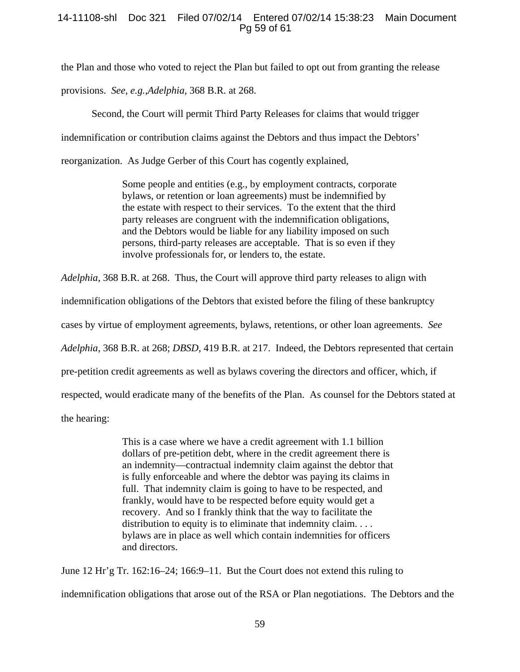# 14-11108-shl Doc 321 Filed 07/02/14 Entered 07/02/14 15:38:23 Main Document Pg 59 of 61

the Plan and those who voted to reject the Plan but failed to opt out from granting the release

provisions. *See, e.g.,Adelphia*, 368 B.R. at 268.

Second, the Court will permit Third Party Releases for claims that would trigger

indemnification or contribution claims against the Debtors and thus impact the Debtors'

reorganization. As Judge Gerber of this Court has cogently explained,

Some people and entities (e.g., by employment contracts, corporate bylaws, or retention or loan agreements) must be indemnified by the estate with respect to their services. To the extent that the third party releases are congruent with the indemnification obligations, and the Debtors would be liable for any liability imposed on such persons, third-party releases are acceptable. That is so even if they involve professionals for, or lenders to, the estate.

*Adelphia*, 368 B.R. at 268. Thus, the Court will approve third party releases to align with

indemnification obligations of the Debtors that existed before the filing of these bankruptcy

cases by virtue of employment agreements, bylaws, retentions, or other loan agreements. *See* 

*Adelphia*, 368 B.R. at 268; *DBSD*, 419 B.R. at 217. Indeed, the Debtors represented that certain

pre-petition credit agreements as well as bylaws covering the directors and officer, which, if

respected, would eradicate many of the benefits of the Plan. As counsel for the Debtors stated at

the hearing:

This is a case where we have a credit agreement with 1.1 billion dollars of pre-petition debt, where in the credit agreement there is an indemnity—contractual indemnity claim against the debtor that is fully enforceable and where the debtor was paying its claims in full. That indemnity claim is going to have to be respected, and frankly, would have to be respected before equity would get a recovery. And so I frankly think that the way to facilitate the distribution to equity is to eliminate that indemnity claim. . . . bylaws are in place as well which contain indemnities for officers and directors.

June 12 Hr'g Tr. 162:16–24; 166:9–11. But the Court does not extend this ruling to

59

indemnification obligations that arose out of the RSA or Plan negotiations. The Debtors and the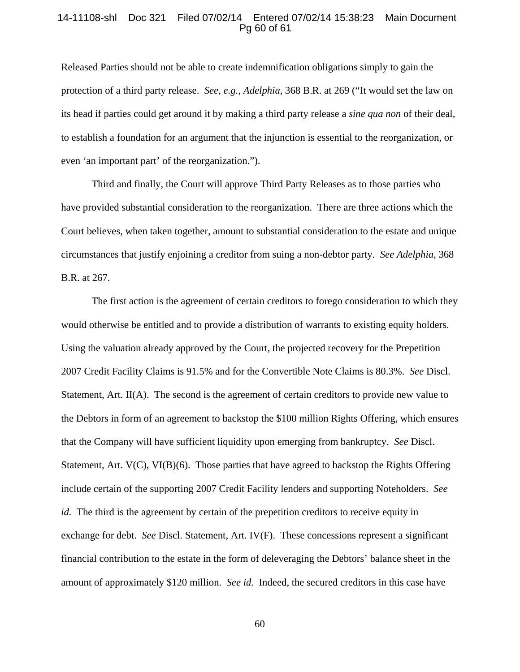#### 14-11108-shl Doc 321 Filed 07/02/14 Entered 07/02/14 15:38:23 Main Document Pg 60 of 61

Released Parties should not be able to create indemnification obligations simply to gain the protection of a third party release. *See, e.g., Adelphia*, 368 B.R. at 269 ("It would set the law on its head if parties could get around it by making a third party release a *sine qua non* of their deal, to establish a foundation for an argument that the injunction is essential to the reorganization, or even 'an important part' of the reorganization.").

 Third and finally, the Court will approve Third Party Releases as to those parties who have provided substantial consideration to the reorganization. There are three actions which the Court believes, when taken together, amount to substantial consideration to the estate and unique circumstances that justify enjoining a creditor from suing a non-debtor party. *See Adelphia*, 368 B.R. at 267.

The first action is the agreement of certain creditors to forego consideration to which they would otherwise be entitled and to provide a distribution of warrants to existing equity holders. Using the valuation already approved by the Court, the projected recovery for the Prepetition 2007 Credit Facility Claims is 91.5% and for the Convertible Note Claims is 80.3%. *See* Discl. Statement, Art. II(A).The second is the agreement of certain creditors to provide new value to the Debtors in form of an agreement to backstop the \$100 million Rights Offering, which ensures that the Company will have sufficient liquidity upon emerging from bankruptcy. *See* Discl. Statement, Art. V(C), VI(B)(6). Those parties that have agreed to backstop the Rights Offering include certain of the supporting 2007 Credit Facility lenders and supporting Noteholders. *See id.* The third is the agreement by certain of the prepetition creditors to receive equity in exchange for debt. *See* Discl. Statement, Art. IV(F). These concessions represent a significant financial contribution to the estate in the form of deleveraging the Debtors' balance sheet in the amount of approximately \$120 million. *See id.* Indeed, the secured creditors in this case have